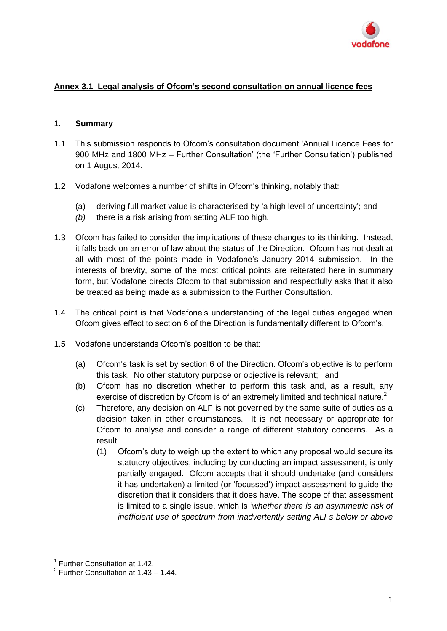

## **Annex 3.1 Legal analysis of Ofcom's second consultation on annual licence fees**

### 1. **Summary**

- 1.1 This submission responds to Ofcom's consultation document 'Annual Licence Fees for 900 MHz and 1800 MHz – Further Consultation' (the 'Further Consultation') published on 1 August 2014.
- 1.2 Vodafone welcomes a number of shifts in Ofcom's thinking, notably that:
	- (a) deriving full market value is characterised by 'a high level of uncertainty'; and
	- *(b)* there is a risk arising from setting ALF too high*.*
- 1.3 Ofcom has failed to consider the implications of these changes to its thinking. Instead, it falls back on an error of law about the status of the Direction. Ofcom has not dealt at all with most of the points made in Vodafone's January 2014 submission. In the interests of brevity, some of the most critical points are reiterated here in summary form, but Vodafone directs Ofcom to that submission and respectfully asks that it also be treated as being made as a submission to the Further Consultation.
- 1.4 The critical point is that Vodafone's understanding of the legal duties engaged when Ofcom gives effect to section 6 of the Direction is fundamentally different to Ofcom's.
- 1.5 Vodafone understands Ofcom's position to be that:
	- (a) Ofcom's task is set by section 6 of the Direction. Ofcom's objective is to perform this task. No other statutory purpose or objective is relevant;  $1$  and
	- (b) Ofcom has no discretion whether to perform this task and, as a result, any exercise of discretion by Ofcom is of an extremely limited and technical nature.<sup>2</sup>
	- (c) Therefore, any decision on ALF is not governed by the same suite of duties as a decision taken in other circumstances. It is not necessary or appropriate for Ofcom to analyse and consider a range of different statutory concerns. As a result:
		- (1) Ofcom's duty to weigh up the extent to which any proposal would secure its statutory objectives, including by conducting an impact assessment, is only partially engaged. Ofcom accepts that it should undertake (and considers it has undertaken) a limited (or 'focussed') impact assessment to guide the discretion that it considers that it does have. The scope of that assessment is limited to a single issue, which is '*whether there is an asymmetric risk of inefficient use of spectrum from inadvertently setting ALFs below or above*

 1 Further Consultation at 1.42.

 $2$  Further Consultation at 1.43 – 1.44.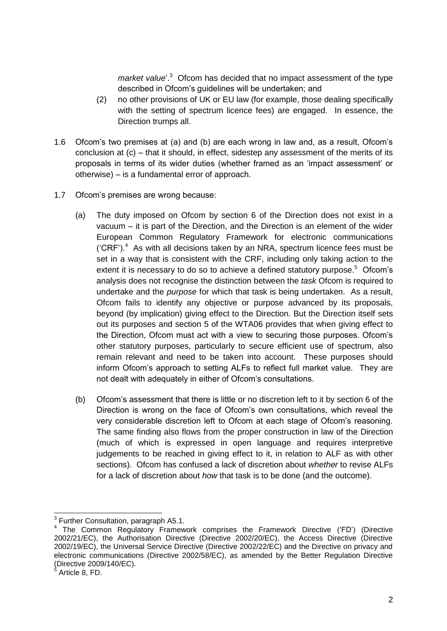*market value*<sup>'.3</sup> Ofcom has decided that no impact assessment of the type described in Ofcom's guidelines will be undertaken; and

- (2) no other provisions of UK or EU law (for example, those dealing specifically with the setting of spectrum licence fees) are engaged. In essence, the Direction trumps all.
- 1.6 Ofcom's two premises at (a) and (b) are each wrong in law and, as a result, Ofcom's conclusion at (c) – that it should, in effect, sidestep any assessment of the merits of its proposals in terms of its wider duties (whether framed as an 'impact assessment' or otherwise) – is a fundamental error of approach.
- 1.7 Ofcom's premises are wrong because:
	- (a) The duty imposed on Ofcom by section 6 of the Direction does not exist in a vacuum – it is part of the Direction, and the Direction is an element of the wider European Common Regulatory Framework for electronic communications ( $CRF$ ).<sup>4</sup> As with all decisions taken by an NRA, spectrum licence fees must be set in a way that is consistent with the CRF, including only taking action to the extent it is necessary to do so to achieve a defined statutory purpose.<sup>5</sup> Ofcom's analysis does not recognise the distinction between the *task* Ofcom is required to undertake and the *purpose* for which that task is being undertaken. As a result, Ofcom fails to identify any objective or purpose advanced by its proposals, beyond (by implication) giving effect to the Direction. But the Direction itself sets out its purposes and section 5 of the WTA06 provides that when giving effect to the Direction, Ofcom must act with a view to securing those purposes. Ofcom's other statutory purposes, particularly to secure efficient use of spectrum, also remain relevant and need to be taken into account. These purposes should inform Ofcom's approach to setting ALFs to reflect full market value. They are not dealt with adequately in either of Ofcom's consultations.
	- (b) Ofcom's assessment that there is little or no discretion left to it by section 6 of the Direction is wrong on the face of Ofcom's own consultations, which reveal the very considerable discretion left to Ofcom at each stage of Ofcom's reasoning. The same finding also flows from the proper construction in law of the Direction (much of which is expressed in open language and requires interpretive judgements to be reached in giving effect to it, in relation to ALF as with other sections). Ofcom has confused a lack of discretion about *whether* to revise ALFs for a lack of discretion about *how* that task is to be done (and the outcome).

<sup>-</sup>3 Further Consultation, paragraph A5.1.

<sup>4</sup> The Common Regulatory Framework comprises the Framework Directive ('FD') (Directive 2002/21/EC), the Authorisation Directive (Directive 2002/20/EC), the Access Directive (Directive 2002/19/EC), the Universal Service Directive (Directive 2002/22/EC) and the Directive on privacy and electronic communications (Directive 2002/58/EC), as amended by the Better Regulation Directive (Directive 2009/140/EC).

Article 8, FD.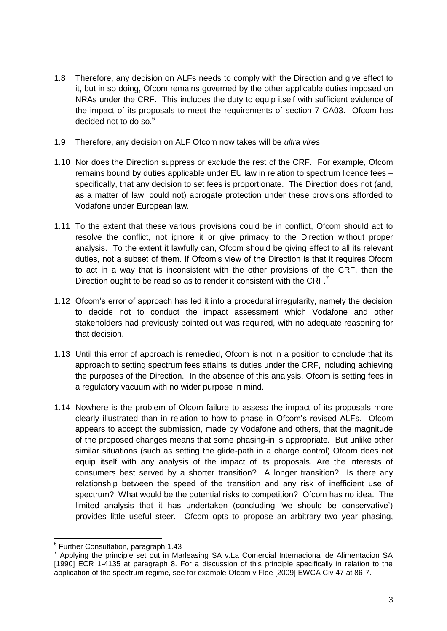- 1.8 Therefore, any decision on ALFs needs to comply with the Direction and give effect to it, but in so doing, Ofcom remains governed by the other applicable duties imposed on NRAs under the CRF. This includes the duty to equip itself with sufficient evidence of the impact of its proposals to meet the requirements of section 7 CA03. Ofcom has decided not to do so.<sup>6</sup>
- 1.9 Therefore, any decision on ALF Ofcom now takes will be *ultra vires*.
- 1.10 Nor does the Direction suppress or exclude the rest of the CRF. For example, Ofcom remains bound by duties applicable under EU law in relation to spectrum licence fees – specifically, that any decision to set fees is proportionate. The Direction does not (and, as a matter of law, could not) abrogate protection under these provisions afforded to Vodafone under European law.
- 1.11 To the extent that these various provisions could be in conflict, Ofcom should act to resolve the conflict, not ignore it or give primacy to the Direction without proper analysis. To the extent it lawfully can, Ofcom should be giving effect to all its relevant duties, not a subset of them. If Ofcom's view of the Direction is that it requires Ofcom to act in a way that is inconsistent with the other provisions of the CRF, then the Direction ought to be read so as to render it consistent with the CRF.<sup>7</sup>
- 1.12 Ofcom's error of approach has led it into a procedural irregularity, namely the decision to decide not to conduct the impact assessment which Vodafone and other stakeholders had previously pointed out was required, with no adequate reasoning for that decision.
- 1.13 Until this error of approach is remedied, Ofcom is not in a position to conclude that its approach to setting spectrum fees attains its duties under the CRF, including achieving the purposes of the Direction. In the absence of this analysis, Ofcom is setting fees in a regulatory vacuum with no wider purpose in mind.
- 1.14 Nowhere is the problem of Ofcom failure to assess the impact of its proposals more clearly illustrated than in relation to how to phase in Ofcom's revised ALFs. Ofcom appears to accept the submission, made by Vodafone and others, that the magnitude of the proposed changes means that some phasing-in is appropriate. But unlike other similar situations (such as setting the glide-path in a charge control) Ofcom does not equip itself with any analysis of the impact of its proposals. Are the interests of consumers best served by a shorter transition? A longer transition? Is there any relationship between the speed of the transition and any risk of inefficient use of spectrum? What would be the potential risks to competition? Ofcom has no idea. The limited analysis that it has undertaken (concluding 'we should be conservative') provides little useful steer. Ofcom opts to propose an arbitrary two year phasing,

 6 Further Consultation, paragraph 1.43

<sup>&</sup>lt;sup>7</sup> Applying the principle set out in Marleasing SA v.La Comercial Internacional de Alimentacion SA [1990] ECR 1-4135 at paragraph 8. For a discussion of this principle specifically in relation to the application of the spectrum regime, see for example Ofcom v Floe [2009] EWCA Civ 47 at 86-7.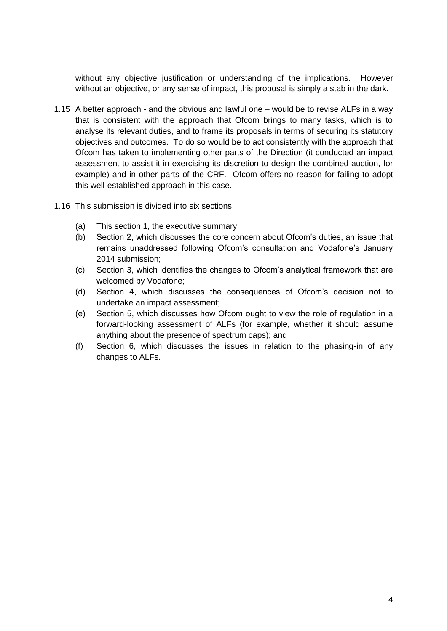without any objective justification or understanding of the implications. However without an objective, or any sense of impact, this proposal is simply a stab in the dark.

- 1.15 A better approach and the obvious and lawful one would be to revise ALFs in a way that is consistent with the approach that Ofcom brings to many tasks, which is to analyse its relevant duties, and to frame its proposals in terms of securing its statutory objectives and outcomes. To do so would be to act consistently with the approach that Ofcom has taken to implementing other parts of the Direction (it conducted an impact assessment to assist it in exercising its discretion to design the combined auction, for example) and in other parts of the CRF. Ofcom offers no reason for failing to adopt this well-established approach in this case.
- 1.16 This submission is divided into six sections:
	- (a) This section 1, the executive summary;
	- (b) Section 2, which discusses the core concern about Ofcom's duties, an issue that remains unaddressed following Ofcom's consultation and Vodafone's January 2014 submission;
	- (c) Section 3, which identifies the changes to Ofcom's analytical framework that are welcomed by Vodafone;
	- (d) Section 4, which discusses the consequences of Ofcom's decision not to undertake an impact assessment;
	- (e) Section 5, which discusses how Ofcom ought to view the role of regulation in a forward-looking assessment of ALFs (for example, whether it should assume anything about the presence of spectrum caps); and
	- (f) Section 6, which discusses the issues in relation to the phasing-in of any changes to ALFs.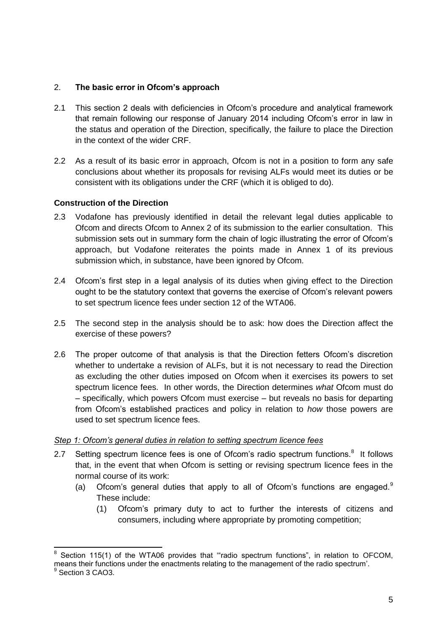## 2. **The basic error in Ofcom's approach**

- 2.1 This section 2 deals with deficiencies in Ofcom's procedure and analytical framework that remain following our response of January 2014 including Ofcom's error in law in the status and operation of the Direction, specifically, the failure to place the Direction in the context of the wider CRF.
- 2.2 As a result of its basic error in approach, Ofcom is not in a position to form any safe conclusions about whether its proposals for revising ALFs would meet its duties or be consistent with its obligations under the CRF (which it is obliged to do).

### **Construction of the Direction**

-

- 2.3 Vodafone has previously identified in detail the relevant legal duties applicable to Ofcom and directs Ofcom to Annex 2 of its submission to the earlier consultation. This submission sets out in summary form the chain of logic illustrating the error of Ofcom's approach, but Vodafone reiterates the points made in Annex 1 of its previous submission which, in substance, have been ignored by Ofcom.
- 2.4 Ofcom's first step in a legal analysis of its duties when giving effect to the Direction ought to be the statutory context that governs the exercise of Ofcom's relevant powers to set spectrum licence fees under section 12 of the WTA06.
- 2.5 The second step in the analysis should be to ask: how does the Direction affect the exercise of these powers?
- 2.6 The proper outcome of that analysis is that the Direction fetters Ofcom's discretion whether to undertake a revision of ALFs, but it is not necessary to read the Direction as excluding the other duties imposed on Ofcom when it exercises its powers to set spectrum licence fees. In other words, the Direction determines *what* Ofcom must do – specifically, which powers Ofcom must exercise – but reveals no basis for departing from Ofcom's established practices and policy in relation to *how* those powers are used to set spectrum licence fees.

### *Step 1: Ofcom's general duties in relation to setting spectrum licence fees*

- 2.7 Setting spectrum licence fees is one of Ofcom's radio spectrum functions. $8$  It follows that, in the event that when Ofcom is setting or revising spectrum licence fees in the normal course of its work:
	- (a) Ofcom's general duties that apply to all of Ofcom's functions are engaged. $9$ These include:
		- (1) Ofcom's primary duty to act to further the interests of citizens and consumers, including where appropriate by promoting competition;

<sup>8</sup> Section 115(1) of the WTA06 provides that "radio spectrum functions", in relation to OFCOM, means their functions under the enactments relating to the management of the radio spectrum'. <sup>9</sup> Section 3 CAO3.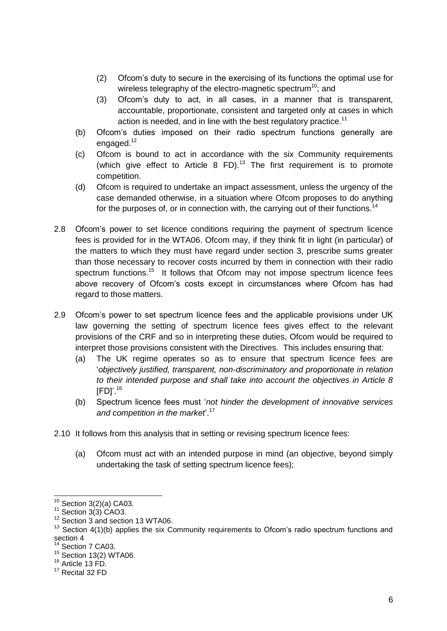- (2) Ofcom's duty to secure in the exercising of its functions the optimal use for wireless telegraphy of the electro-magnetic spectrum<sup>10</sup>; and
- (3) Ofcom's duty to act, in all cases, in a manner that is transparent, accountable, proportionate, consistent and targeted only at cases in which action is needed, and in line with the best regulatory practice.<sup>11</sup>
- (b) Ofcom's duties imposed on their radio spectrum functions generally are engaged.<sup>12</sup>
- (c) Ofcom is bound to act in accordance with the six Community requirements (which give effect to Article 8 FD).<sup>13</sup> The first requirement is to promote competition.
- (d) Ofcom is required to undertake an impact assessment, unless the urgency of the case demanded otherwise, in a situation where Ofcom proposes to do anything for the purposes of, or in connection with, the carrying out of their functions.<sup>14</sup>
- 2.8 Ofcom's power to set licence conditions requiring the payment of spectrum licence fees is provided for in the WTA06. Ofcom may, if they think fit in light (in particular) of the matters to which they must have regard under section 3, prescribe sums greater than those necessary to recover costs incurred by them in connection with their radio spectrum functions.<sup>15</sup> It follows that Ofcom may not impose spectrum licence fees above recovery of Ofcom's costs except in circumstances where Ofcom has had regard to those matters.
- 2.9 Ofcom's power to set spectrum licence fees and the applicable provisions under UK law governing the setting of spectrum licence fees gives effect to the relevant provisions of the CRF and so in interpreting these duties, Ofcom would be required to interpret those provisions consistent with the Directives. This includes ensuring that:
	- (a) The UK regime operates so as to ensure that spectrum licence fees are '*objectively justified, transparent, non-discriminatory and proportionate in relation to their intended purpose and shall take into account the objectives in Article 8*  $[FD]'$ .<sup>16</sup>
	- (b) Spectrum licence fees must '*not hinder the development of innovative services and competition in the market*'.<sup>17</sup>
- 2.10 It follows from this analysis that in setting or revising spectrum licence fees:
	- (a) Ofcom must act with an intended purpose in mind (an objective, beyond simply undertaking the task of setting spectrum licence fees);

 $\overline{a}$  $10$  Section 3(2)(a) CA03.

 $11$  Section 3(3) CAO3.

 $12$  Section 3 and section 13 WTA06.

<sup>&</sup>lt;sup>13</sup> Section 4(1)(b) applies the six Community requirements to Ofcom's radio spectrum functions and section 4

<sup>&</sup>lt;sup>14</sup> Section 7 CA03.

<sup>15</sup> Section 13(2) WTA06.

<sup>&</sup>lt;sup>16</sup> Article 13 FD.

<sup>&</sup>lt;sup>17</sup> Recital 32 FD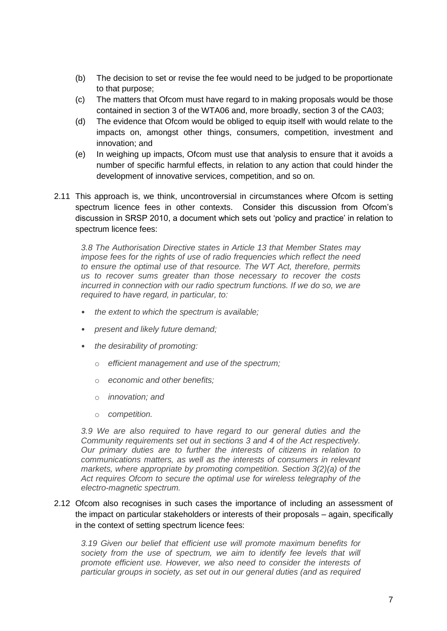- (b) The decision to set or revise the fee would need to be judged to be proportionate to that purpose;
- (c) The matters that Ofcom must have regard to in making proposals would be those contained in section 3 of the WTA06 and, more broadly, section 3 of the CA03;
- (d) The evidence that Ofcom would be obliged to equip itself with would relate to the impacts on, amongst other things, consumers, competition, investment and innovation; and
- (e) In weighing up impacts, Ofcom must use that analysis to ensure that it avoids a number of specific harmful effects, in relation to any action that could hinder the development of innovative services, competition, and so on.
- 2.11 This approach is, we think, uncontroversial in circumstances where Ofcom is setting spectrum licence fees in other contexts. Consider this discussion from Ofcom's discussion in SRSP 2010, a document which sets out 'policy and practice' in relation to spectrum licence fees:

*3.8 The Authorisation Directive states in Article 13 that Member States may impose fees for the rights of use of radio frequencies which reflect the need to ensure the optimal use of that resource. The WT Act, therefore, permits us to recover sums greater than those necessary to recover the costs incurred in connection with our radio spectrum functions. If we do so, we are required to have regard, in particular, to:*

- *the extent to which the spectrum is available;*
- *present and likely future demand;*
- *the desirability of promoting:* 
	- o *efficient management and use of the spectrum;*
	- o *economic and other benefits;*
	- o *innovation; and*
	- o *competition.*

*3.9 We are also required to have regard to our general duties and the Community requirements set out in sections 3 and 4 of the Act respectively. Our primary duties are to further the interests of citizens in relation to communications matters, as well as the interests of consumers in relevant markets, where appropriate by promoting competition. Section 3(2)(a) of the Act requires Ofcom to secure the optimal use for wireless telegraphy of the electro-magnetic spectrum.*

2.12 Ofcom also recognises in such cases the importance of including an assessment of the impact on particular stakeholders or interests of their proposals – again, specifically in the context of setting spectrum licence fees:

*3.19 Given our belief that efficient use will promote maximum benefits for*  society from the use of spectrum, we aim to identify fee levels that will *promote efficient use. However, we also need to consider the interests of particular groups in society, as set out in our general duties (and as required*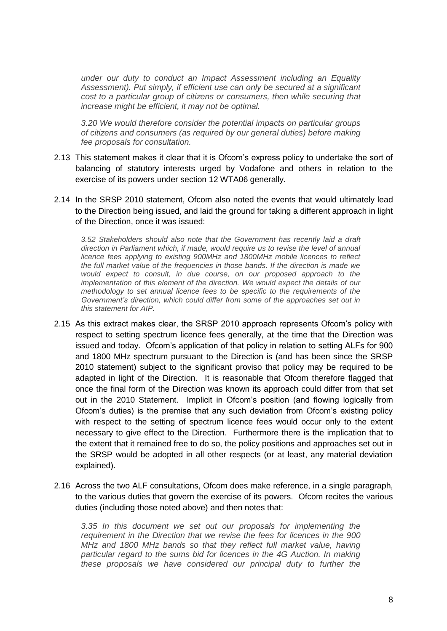*under our duty to conduct an Impact Assessment including an Equality Assessment). Put simply, if efficient use can only be secured at a significant cost to a particular group of citizens or consumers, then while securing that increase might be efficient, it may not be optimal.* 

*3.20 We would therefore consider the potential impacts on particular groups of citizens and consumers (as required by our general duties) before making fee proposals for consultation.*

- 2.13 This statement makes it clear that it is Ofcom's express policy to undertake the sort of balancing of statutory interests urged by Vodafone and others in relation to the exercise of its powers under section 12 WTA06 generally.
- 2.14 In the SRSP 2010 statement, Ofcom also noted the events that would ultimately lead to the Direction being issued, and laid the ground for taking a different approach in light of the Direction, once it was issued:

*3.52 Stakeholders should also note that the Government has recently laid a draft direction in Parliament which, if made, would require us to revise the level of annual licence fees applying to existing 900MHz and 1800MHz mobile licences to reflect the full market value of the frequencies in those bands. If the direction is made we would expect to consult, in due course, on our proposed approach to the implementation of this element of the direction. We would expect the details of our methodology to set annual licence fees to be specific to the requirements of the Government's direction, which could differ from some of the approaches set out in this statement for AIP.*

- 2.15 As this extract makes clear, the SRSP 2010 approach represents Ofcom's policy with respect to setting spectrum licence fees generally, at the time that the Direction was issued and today. Ofcom's application of that policy in relation to setting ALFs for 900 and 1800 MHz spectrum pursuant to the Direction is (and has been since the SRSP 2010 statement) subject to the significant proviso that policy may be required to be adapted in light of the Direction. It is reasonable that Ofcom therefore flagged that once the final form of the Direction was known its approach could differ from that set out in the 2010 Statement. Implicit in Ofcom's position (and flowing logically from Ofcom's duties) is the premise that any such deviation from Ofcom's existing policy with respect to the setting of spectrum licence fees would occur only to the extent necessary to give effect to the Direction. Furthermore there is the implication that to the extent that it remained free to do so, the policy positions and approaches set out in the SRSP would be adopted in all other respects (or at least, any material deviation explained).
- 2.16 Across the two ALF consultations, Ofcom does make reference, in a single paragraph, to the various duties that govern the exercise of its powers. Ofcom recites the various duties (including those noted above) and then notes that:

*3.35 In this document we set out our proposals for implementing the requirement in the Direction that we revise the fees for licences in the 900 MHz and 1800 MHz bands so that they reflect full market value, having particular regard to the sums bid for licences in the 4G Auction. In making these proposals we have considered our principal duty to further the*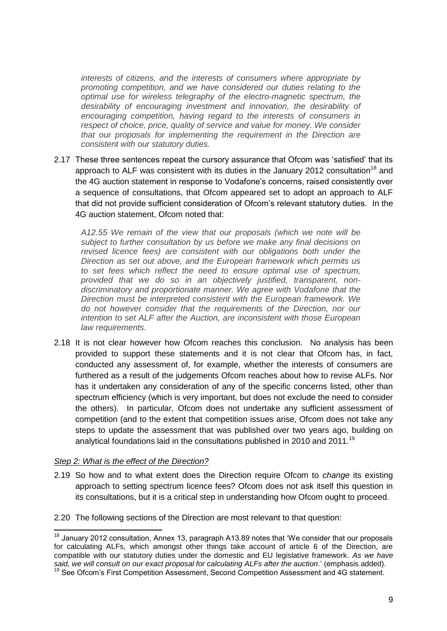*interests of citizens, and the interests of consumers where appropriate by promoting competition, and we have considered our duties relating to the optimal use for wireless telegraphy of the electro-magnetic spectrum, the desirability of encouraging investment and innovation, the desirability of encouraging competition, having regard to the interests of consumers in respect of choice, price, quality of service and value for money. We consider that our proposals for implementing the requirement in the Direction are consistent with our statutory duties.* 

2.17 These three sentences repeat the cursory assurance that Ofcom was 'satisfied' that its approach to ALF was consistent with its duties in the January 2012 consultation<sup>18</sup> and the 4G auction statement in response to Vodafone's concerns, raised consistently over a sequence of consultations, that Ofcom appeared set to adopt an approach to ALF that did not provide sufficient consideration of Ofcom's relevant statutory duties. In the 4G auction statement, Ofcom noted that:

*A12.55 We remain of the view that our proposals (which we note will be subject to further consultation by us before we make any final decisions on revised licence fees) are consistent with our obligations both under the Direction as set out above, and the European framework which permits us to set fees which reflect the need to ensure optimal use of spectrum, provided that we do so in an objectively justified, transparent, nondiscriminatory and proportionate manner. We agree with Vodafone that the Direction must be interpreted consistent with the European framework. We do not however consider that the requirements of the Direction, nor our intention to set ALF after the Auction, are inconsistent with those European law requirements.* 

2.18 It is not clear however how Ofcom reaches this conclusion. No analysis has been provided to support these statements and it is not clear that Ofcom has, in fact, conducted any assessment of, for example, whether the interests of consumers are furthered as a result of the judgements Ofcom reaches about how to revise ALFs. Nor has it undertaken any consideration of any of the specific concerns listed, other than spectrum efficiency (which is very important, but does not exclude the need to consider the others). In particular, Ofcom does not undertake any sufficient assessment of competition (and to the extent that competition issues arise, Ofcom does not take any steps to update the assessment that was published over two years ago, building on analytical foundations laid in the consultations published in 2010 and 2011.<sup>19</sup>

#### *Step 2: What is the effect of the Direction?*

 $\overline{1}$ 

- 2.19 So how and to what extent does the Direction require Ofcom to *change* its existing approach to setting spectrum licence fees? Ofcom does not ask itself this question in its consultations, but it is a critical step in understanding how Ofcom ought to proceed.
- 2.20 The following sections of the Direction are most relevant to that question:

 $18$  January 2012 consultation, Annex 13, paragraph A13.89 notes that 'We consider that our proposals for calculating ALFs, which amongst other things take account of article 6 of the Direction, are compatible with our statutory duties under the domestic and EU legislative framework. *As we have said, we will consult on our exact proposal for calculating ALFs after the auction*.' (emphasis added).

<sup>&</sup>lt;sup>19</sup> See Ofcom's First Competition Assessment, Second Competition Assessment and 4G statement.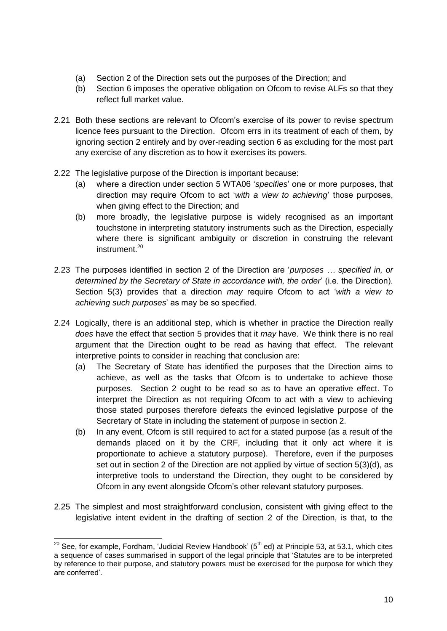- (a) Section 2 of the Direction sets out the purposes of the Direction; and
- (b) Section 6 imposes the operative obligation on Ofcom to revise ALFs so that they reflect full market value.
- 2.21 Both these sections are relevant to Ofcom's exercise of its power to revise spectrum licence fees pursuant to the Direction. Ofcom errs in its treatment of each of them, by ignoring section 2 entirely and by over-reading section 6 as excluding for the most part any exercise of any discretion as to how it exercises its powers.
- 2.22 The legislative purpose of the Direction is important because:
	- (a) where a direction under section 5 WTA06 '*specifies*' one or more purposes, that direction may require Ofcom to act '*with a view to achieving*' those purposes, when giving effect to the Direction; and
	- (b) more broadly, the legislative purpose is widely recognised as an important touchstone in interpreting statutory instruments such as the Direction, especially where there is significant ambiguity or discretion in construing the relevant instrument.<sup>20</sup>
- 2.23 The purposes identified in section 2 of the Direction are '*purposes … specified in, or determined by the Secretary of State in accordance with, the order*' (i.e. the Direction). Section 5(3) provides that a direction *may* require Ofcom to act '*with a view to achieving such purposes*' as may be so specified.
- 2.24 Logically, there is an additional step, which is whether in practice the Direction really *does* have the effect that section 5 provides that it *may* have. We think there is no real argument that the Direction ought to be read as having that effect. The relevant interpretive points to consider in reaching that conclusion are:
	- (a) The Secretary of State has identified the purposes that the Direction aims to achieve, as well as the tasks that Ofcom is to undertake to achieve those purposes. Section 2 ought to be read so as to have an operative effect. To interpret the Direction as not requiring Ofcom to act with a view to achieving those stated purposes therefore defeats the evinced legislative purpose of the Secretary of State in including the statement of purpose in section 2.
	- (b) In any event, Ofcom is still required to act for a stated purpose (as a result of the demands placed on it by the CRF, including that it only act where it is proportionate to achieve a statutory purpose). Therefore, even if the purposes set out in section 2 of the Direction are not applied by virtue of section 5(3)(d), as interpretive tools to understand the Direction, they ought to be considered by Ofcom in any event alongside Ofcom's other relevant statutory purposes.
- 2.25 The simplest and most straightforward conclusion, consistent with giving effect to the legislative intent evident in the drafting of section 2 of the Direction, is that, to the

<sup>-</sup><sup>20</sup> See, for example, Fordham, 'Judicial Review Handbook' (5<sup>th</sup> ed) at Principle 53, at 53.1, which cites a sequence of cases summarised in support of the legal principle that 'Statutes are to be interpreted by reference to their purpose, and statutory powers must be exercised for the purpose for which they are conferred'.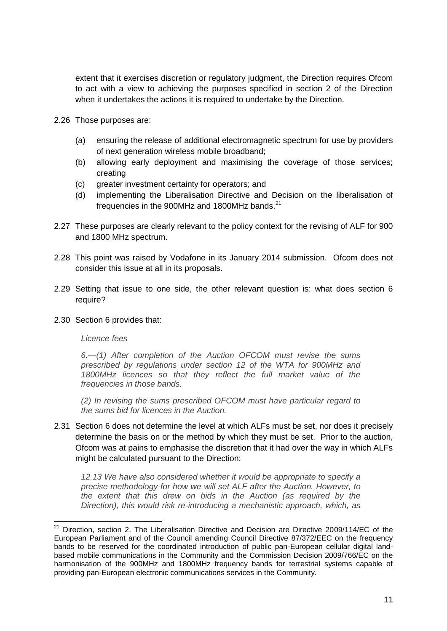extent that it exercises discretion or regulatory judgment, the Direction requires Ofcom to act with a view to achieving the purposes specified in section 2 of the Direction when it undertakes the actions it is required to undertake by the Direction.

- 2.26 Those purposes are:
	- (a) ensuring the release of additional electromagnetic spectrum for use by providers of next generation wireless mobile broadband;
	- (b) allowing early deployment and maximising the coverage of those services; creating
	- (c) greater investment certainty for operators; and
	- (d) implementing the Liberalisation Directive and Decision on the liberalisation of frequencies in the 900MHz and 1800MHz bands.<sup>21</sup>
- 2.27 These purposes are clearly relevant to the policy context for the revising of ALF for 900 and 1800 MHz spectrum.
- 2.28 This point was raised by Vodafone in its January 2014 submission. Ofcom does not consider this issue at all in its proposals.
- 2.29 Setting that issue to one side, the other relevant question is: what does section 6 require?
- 2.30 Section 6 provides that:

*Licence fees*

*6.—(1) After completion of the Auction OFCOM must revise the sums prescribed by regulations under section 12 of the WTA for 900MHz and 1800MHz licences so that they reflect the full market value of the frequencies in those bands.*

*(2) In revising the sums prescribed OFCOM must have particular regard to the sums bid for licences in the Auction.*

2.31 Section 6 does not determine the level at which ALFs must be set, nor does it precisely determine the basis on or the method by which they must be set. Prior to the auction, Ofcom was at pains to emphasise the discretion that it had over the way in which ALFs might be calculated pursuant to the Direction:

*12.13 We have also considered whether it would be appropriate to specify a precise methodology for how we will set ALF after the Auction. However, to the extent that this drew on bids in the Auction (as required by the Direction), this would risk re-introducing a mechanistic approach, which, as* 

 $21$ <sup>21</sup> Direction, section 2. The Liberalisation Directive and Decision are Directive 2009/114/EC of the European Parliament and of the Council amending Council Directive 87/372/EEC on the frequency bands to be reserved for the coordinated introduction of public pan-European cellular digital landbased mobile communications in the Community and the Commission Decision 2009/766/EC on the harmonisation of the 900MHz and 1800MHz frequency bands for terrestrial systems capable of providing pan-European electronic communications services in the Community.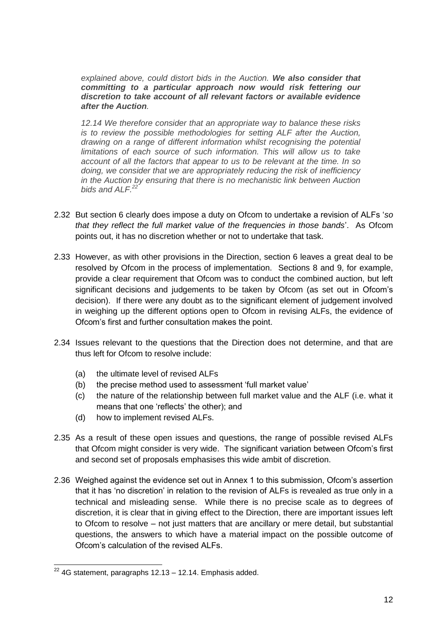*explained above, could distort bids in the Auction. We also consider that committing to a particular approach now would risk fettering our discretion to take account of all relevant factors or available evidence after the Auction.*

*12.14 We therefore consider that an appropriate way to balance these risks is to review the possible methodologies for setting ALF after the Auction, drawing on a range of different information whilst recognising the potential limitations of each source of such information. This will allow us to take account of all the factors that appear to us to be relevant at the time. In so doing, we consider that we are appropriately reducing the risk of inefficiency in the Auction by ensuring that there is no mechanistic link between Auction bids and ALF.<sup>22</sup>*

- 2.32 But section 6 clearly does impose a duty on Ofcom to undertake a revision of ALFs '*so that they reflect the full market value of the frequencies in those bands*'. As Ofcom points out, it has no discretion whether or not to undertake that task.
- 2.33 However, as with other provisions in the Direction, section 6 leaves a great deal to be resolved by Ofcom in the process of implementation. Sections 8 and 9, for example, provide a clear requirement that Ofcom was to conduct the combined auction, but left significant decisions and judgements to be taken by Ofcom (as set out in Ofcom's decision). If there were any doubt as to the significant element of judgement involved in weighing up the different options open to Ofcom in revising ALFs, the evidence of Ofcom's first and further consultation makes the point.
- 2.34 Issues relevant to the questions that the Direction does not determine, and that are thus left for Ofcom to resolve include:
	- (a) the ultimate level of revised ALFs
	- (b) the precise method used to assessment 'full market value'
	- (c) the nature of the relationship between full market value and the ALF (i.e. what it means that one 'reflects' the other); and
	- (d) how to implement revised ALFs.
- 2.35 As a result of these open issues and questions, the range of possible revised ALFs that Ofcom might consider is very wide. The significant variation between Ofcom's first and second set of proposals emphasises this wide ambit of discretion.
- 2.36 Weighed against the evidence set out in Annex 1 to this submission, Ofcom's assertion that it has 'no discretion' in relation to the revision of ALFs is revealed as true only in a technical and misleading sense. While there is no precise scale as to degrees of discretion, it is clear that in giving effect to the Direction, there are important issues left to Ofcom to resolve – not just matters that are ancillary or mere detail, but substantial questions, the answers to which have a material impact on the possible outcome of Ofcom's calculation of the revised ALFs.

 $\overline{a}$  $22$  4G statement, paragraphs 12.13 – 12.14. Emphasis added.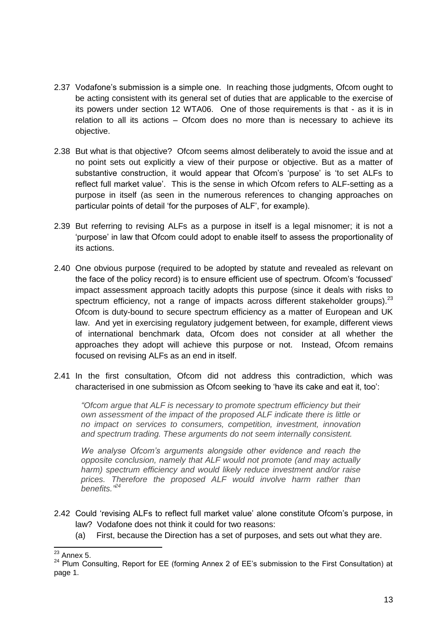- 2.37 Vodafone's submission is a simple one. In reaching those judgments, Ofcom ought to be acting consistent with its general set of duties that are applicable to the exercise of its powers under section 12 WTA06. One of those requirements is that - as it is in relation to all its actions – Ofcom does no more than is necessary to achieve its objective.
- 2.38 But what is that objective? Ofcom seems almost deliberately to avoid the issue and at no point sets out explicitly a view of their purpose or objective. But as a matter of substantive construction, it would appear that Ofcom's 'purpose' is 'to set ALFs to reflect full market value'. This is the sense in which Ofcom refers to ALF-setting as a purpose in itself (as seen in the numerous references to changing approaches on particular points of detail 'for the purposes of ALF', for example).
- 2.39 But referring to revising ALFs as a purpose in itself is a legal misnomer; it is not a 'purpose' in law that Ofcom could adopt to enable itself to assess the proportionality of its actions.
- 2.40 One obvious purpose (required to be adopted by statute and revealed as relevant on the face of the policy record) is to ensure efficient use of spectrum. Ofcom's 'focussed' impact assessment approach tacitly adopts this purpose (since it deals with risks to spectrum efficiency, not a range of impacts across different stakeholder groups).<sup>23</sup> Ofcom is duty-bound to secure spectrum efficiency as a matter of European and UK law. And yet in exercising regulatory judgement between, for example, different views of international benchmark data, Ofcom does not consider at all whether the approaches they adopt will achieve this purpose or not. Instead, Ofcom remains focused on revising ALFs as an end in itself.
- 2.41 In the first consultation, Ofcom did not address this contradiction, which was characterised in one submission as Ofcom seeking to 'have its cake and eat it, too':

*"Ofcom argue that ALF is necessary to promote spectrum efficiency but their own assessment of the impact of the proposed ALF indicate there is little or no impact on services to consumers, competition, investment, innovation and spectrum trading. These arguments do not seem internally consistent.* 

*We analyse Ofcom's arguments alongside other evidence and reach the opposite conclusion, namely that ALF would not promote (and may actually harm) spectrum efficiency and would likely reduce investment and/or raise prices. Therefore the proposed ALF would involve harm rather than benefits.*<sup>24</sup>

- 2.42 Could 'revising ALFs to reflect full market value' alone constitute Ofcom's purpose, in law? Vodafone does not think it could for two reasons:
	- (a) First, because the Direction has a set of purposes, and sets out what they are.

<sup>-</sup> $^{23}$  Annex 5.

<sup>&</sup>lt;sup>24</sup> Plum Consulting, Report for EE (forming Annex 2 of EE's submission to the First Consultation) at page 1.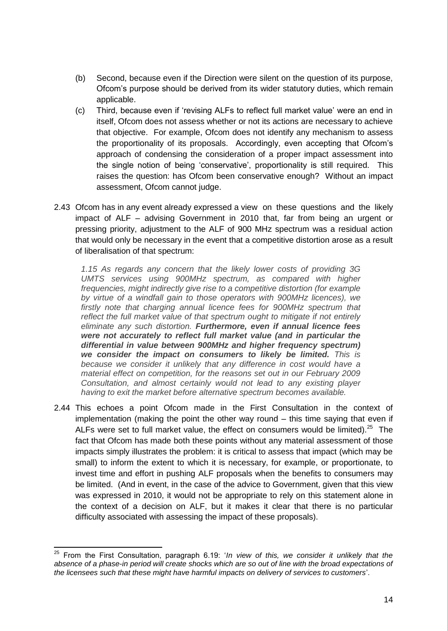- (b) Second, because even if the Direction were silent on the question of its purpose, Ofcom's purpose should be derived from its wider statutory duties, which remain applicable.
- (c) Third, because even if 'revising ALFs to reflect full market value' were an end in itself, Ofcom does not assess whether or not its actions are necessary to achieve that objective. For example, Ofcom does not identify any mechanism to assess the proportionality of its proposals. Accordingly, even accepting that Ofcom's approach of condensing the consideration of a proper impact assessment into the single notion of being 'conservative', proportionality is still required. This raises the question: has Ofcom been conservative enough? Without an impact assessment, Ofcom cannot judge.
- 2.43 Ofcom has in any event already expressed a view on these questions and the likely impact of ALF – advising Government in 2010 that, far from being an urgent or pressing priority, adjustment to the ALF of 900 MHz spectrum was a residual action that would only be necessary in the event that a competitive distortion arose as a result of liberalisation of that spectrum:

*1.15 As regards any concern that the likely lower costs of providing 3G UMTS services using 900MHz spectrum, as compared with higher frequencies, might indirectly give rise to a competitive distortion (for example by virtue of a windfall gain to those operators with 900MHz licences), we firstly note that charging annual licence fees for 900MHz spectrum that reflect the full market value of that spectrum ought to mitigate if not entirely eliminate any such distortion. Furthermore, even if annual licence fees were not accurately to reflect full market value (and in particular the differential in value between 900MHz and higher frequency spectrum) we consider the impact on consumers to likely be limited. This is*  because we consider it unlikely that any difference in cost would have a *material effect on competition, for the reasons set out in our February 2009 Consultation, and almost certainly would not lead to any existing player having to exit the market before alternative spectrum becomes available.*

2.44 This echoes a point Ofcom made in the First Consultation in the context of implementation (making the point the other way round – this time saying that even if ALFs were set to full market value, the effect on consumers would be limited).<sup>25</sup> The fact that Ofcom has made both these points without any material assessment of those impacts simply illustrates the problem: it is critical to assess that impact (which may be small) to inform the extent to which it is necessary, for example, or proportionate, to invest time and effort in pushing ALF proposals when the benefits to consumers may be limited. (And in event, in the case of the advice to Government, given that this view was expressed in 2010, it would not be appropriate to rely on this statement alone in the context of a decision on ALF, but it makes it clear that there is no particular difficulty associated with assessing the impact of these proposals).

 $\overline{\phantom{a}}$ <sup>25</sup> From the First Consultation, paragraph 6.19: '*In view of this, we consider it unlikely that the absence of a phase-in period will create shocks which are so out of line with the broad expectations of the licensees such that these might have harmful impacts on delivery of services to customers*'.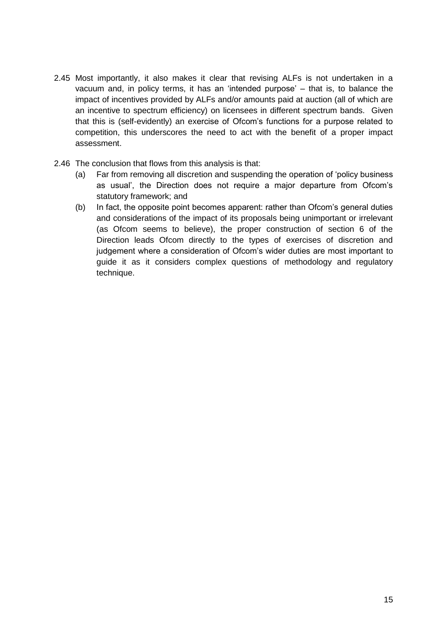- 2.45 Most importantly, it also makes it clear that revising ALFs is not undertaken in a vacuum and, in policy terms, it has an 'intended purpose' – that is, to balance the impact of incentives provided by ALFs and/or amounts paid at auction (all of which are an incentive to spectrum efficiency) on licensees in different spectrum bands. Given that this is (self-evidently) an exercise of Ofcom's functions for a purpose related to competition, this underscores the need to act with the benefit of a proper impact assessment.
- 2.46 The conclusion that flows from this analysis is that:
	- (a) Far from removing all discretion and suspending the operation of 'policy business as usual', the Direction does not require a major departure from Ofcom's statutory framework; and
	- (b) In fact, the opposite point becomes apparent: rather than Ofcom's general duties and considerations of the impact of its proposals being unimportant or irrelevant (as Ofcom seems to believe), the proper construction of section 6 of the Direction leads Ofcom directly to the types of exercises of discretion and judgement where a consideration of Ofcom's wider duties are most important to guide it as it considers complex questions of methodology and regulatory technique.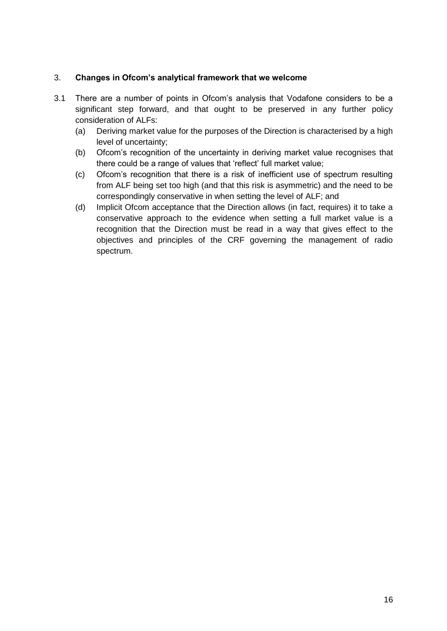# 3. **Changes in Ofcom's analytical framework that we welcome**

- 3.1 There are a number of points in Ofcom's analysis that Vodafone considers to be a significant step forward, and that ought to be preserved in any further policy consideration of ALFs:
	- (a) Deriving market value for the purposes of the Direction is characterised by a high level of uncertainty;
	- (b) Ofcom's recognition of the uncertainty in deriving market value recognises that there could be a range of values that 'reflect' full market value;
	- (c) Ofcom's recognition that there is a risk of inefficient use of spectrum resulting from ALF being set too high (and that this risk is asymmetric) and the need to be correspondingly conservative in when setting the level of ALF; and
	- (d) Implicit Ofcom acceptance that the Direction allows (in fact, requires) it to take a conservative approach to the evidence when setting a full market value is a recognition that the Direction must be read in a way that gives effect to the objectives and principles of the CRF governing the management of radio spectrum.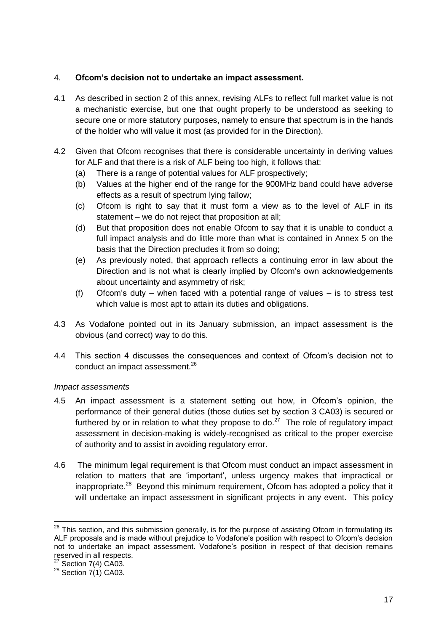# 4. **Ofcom's decision not to undertake an impact assessment.**

- 4.1 As described in section 2 of this annex, revising ALFs to reflect full market value is not a mechanistic exercise, but one that ought properly to be understood as seeking to secure one or more statutory purposes, namely to ensure that spectrum is in the hands of the holder who will value it most (as provided for in the Direction).
- 4.2 Given that Ofcom recognises that there is considerable uncertainty in deriving values for ALF and that there is a risk of ALF being too high, it follows that:
	- (a) There is a range of potential values for ALF prospectively;
	- (b) Values at the higher end of the range for the 900MHz band could have adverse effects as a result of spectrum lying fallow;
	- (c) Ofcom is right to say that it must form a view as to the level of ALF in its statement – we do not reject that proposition at all;
	- (d) But that proposition does not enable Ofcom to say that it is unable to conduct a full impact analysis and do little more than what is contained in Annex 5 on the basis that the Direction precludes it from so doing;
	- (e) As previously noted, that approach reflects a continuing error in law about the Direction and is not what is clearly implied by Ofcom's own acknowledgements about uncertainty and asymmetry of risk;
	- (f) Ofcom's duty when faced with a potential range of values is to stress test which value is most apt to attain its duties and obligations.
- 4.3 As Vodafone pointed out in its January submission, an impact assessment is the obvious (and correct) way to do this.
- 4.4 This section 4 discusses the consequences and context of Ofcom's decision not to conduct an impact assessment.<sup>26</sup>

### *Impact assessments*

- 4.5 An impact assessment is a statement setting out how, in Ofcom's opinion, the performance of their general duties (those duties set by section 3 CA03) is secured or furthered by or in relation to what they propose to  $do.<sup>27</sup>$  The role of regulatory impact assessment in decision-making is widely-recognised as critical to the proper exercise of authority and to assist in avoiding regulatory error.
- 4.6 The minimum legal requirement is that Ofcom must conduct an impact assessment in relation to matters that are 'important', unless urgency makes that impractical or inappropriate.<sup>28</sup> Beyond this minimum requirement, Ofcom has adopted a policy that it will undertake an impact assessment in significant projects in any event. This policy

-

 $26$  This section, and this submission generally, is for the purpose of assisting Ofcom in formulating its ALF proposals and is made without prejudice to Vodafone's position with respect to Ofcom's decision not to undertake an impact assessment. Vodafone's position in respect of that decision remains reserved in all respects.

 $27$  Section 7(4) CA03.

 $28$  Section 7(1) CA03.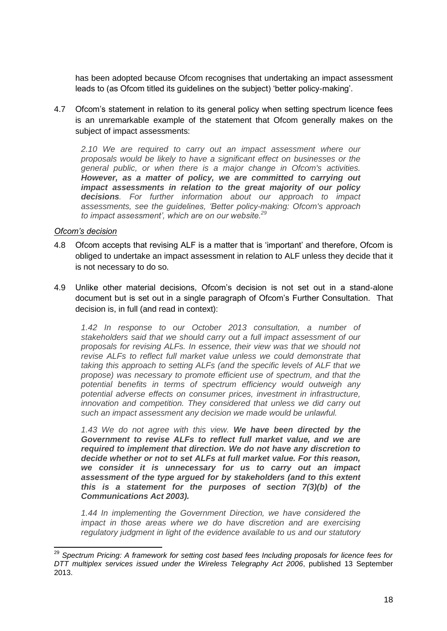has been adopted because Ofcom recognises that undertaking an impact assessment leads to (as Ofcom titled its guidelines on the subject) 'better policy-making'.

4.7 Ofcom's statement in relation to its general policy when setting spectrum licence fees is an unremarkable example of the statement that Ofcom generally makes on the subject of impact assessments:

*2.10 We are required to carry out an impact assessment where our proposals would be likely to have a significant effect on businesses or the general public, or when there is a major change in Ofcom's activities. However, as a matter of policy, we are committed to carrying out impact assessments in relation to the great majority of our policy decisions. For further information about our approach to impact assessments, see the guidelines, 'Better policy-making: Ofcom's approach to impact assessment', which are on our website.<sup>29</sup>*

### *Ofcom's decision*

 $\overline{\phantom{a}}$ 

- 4.8 Ofcom accepts that revising ALF is a matter that is 'important' and therefore, Ofcom is obliged to undertake an impact assessment in relation to ALF unless they decide that it is not necessary to do so.
- 4.9 Unlike other material decisions, Ofcom's decision is not set out in a stand-alone document but is set out in a single paragraph of Ofcom's Further Consultation. That decision is, in full (and read in context):

*1.42 In response to our October 2013 consultation, a number of stakeholders said that we should carry out a full impact assessment of our proposals for revising ALFs. In essence, their view was that we should not revise ALFs to reflect full market value unless we could demonstrate that taking this approach to setting ALFs (and the specific levels of ALF that we propose) was necessary to promote efficient use of spectrum, and that the potential benefits in terms of spectrum efficiency would outweigh any potential adverse effects on consumer prices, investment in infrastructure, innovation and competition. They considered that unless we did carry out such an impact assessment any decision we made would be unlawful.*

*1.43 We do not agree with this view. We have been directed by the Government to revise ALFs to reflect full market value, and we are required to implement that direction. We do not have any discretion to decide whether or not to set ALFs at full market value. For this reason, we consider it is unnecessary for us to carry out an impact assessment of the type argued for by stakeholders (and to this extent this is a statement for the purposes of section 7(3)(b) of the Communications Act 2003).*

*1.44 In implementing the Government Direction, we have considered the impact in those areas where we do have discretion and are exercising regulatory judgment in light of the evidence available to us and our statutory* 

<sup>&</sup>lt;sup>29</sup> Spectrum Pricing: A framework for setting cost based fees Including proposals for licence fees for *DTT multiplex services issued under the Wireless Telegraphy Act 2006*, published 13 September 2013.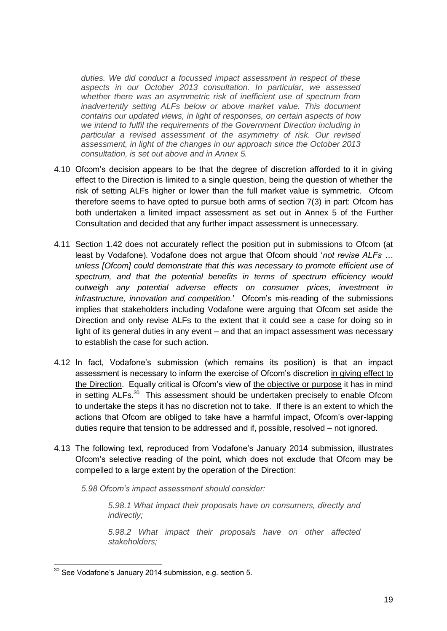*duties. We did conduct a focussed impact assessment in respect of these aspects in our October 2013 consultation. In particular, we assessed whether there was an asymmetric risk of inefficient use of spectrum from inadvertently setting ALFs below or above market value. This document contains our updated views, in light of responses, on certain aspects of how we intend to fulfil the requirements of the Government Direction including in particular a revised assessment of the asymmetry of risk. Our revised assessment, in light of the changes in our approach since the October 2013 consultation, is set out above and in Annex 5.*

- 4.10 Ofcom's decision appears to be that the degree of discretion afforded to it in giving effect to the Direction is limited to a single question, being the question of whether the risk of setting ALFs higher or lower than the full market value is symmetric. Ofcom therefore seems to have opted to pursue both arms of section 7(3) in part: Ofcom has both undertaken a limited impact assessment as set out in Annex 5 of the Further Consultation and decided that any further impact assessment is unnecessary.
- 4.11 Section 1.42 does not accurately reflect the position put in submissions to Ofcom (at least by Vodafone). Vodafone does not argue that Ofcom should '*not revise ALFs … unless [Ofcom] could demonstrate that this was necessary to promote efficient use of spectrum, and that the potential benefits in terms of spectrum efficiency would outweigh any potential adverse effects on consumer prices, investment in infrastructure, innovation and competition.*' Ofcom's mis-reading of the submissions implies that stakeholders including Vodafone were arguing that Ofcom set aside the Direction and only revise ALFs to the extent that it could see a case for doing so in light of its general duties in any event – and that an impact assessment was necessary to establish the case for such action.
- 4.12 In fact, Vodafone's submission (which remains its position) is that an impact assessment is necessary to inform the exercise of Ofcom's discretion in giving effect to the Direction. Equally critical is Ofcom's view of the objective or purpose it has in mind in setting ALFs.<sup>30</sup> This assessment should be undertaken precisely to enable Ofcom to undertake the steps it has no discretion not to take. If there is an extent to which the actions that Ofcom are obliged to take have a harmful impact, Ofcom's over-lapping duties require that tension to be addressed and if, possible, resolved – not ignored.
- 4.13 The following text, reproduced from Vodafone's January 2014 submission, illustrates Ofcom's selective reading of the point, which does not exclude that Ofcom may be compelled to a large extent by the operation of the Direction:
	- *5.98 Ofcom's impact assessment should consider:*

*5.98.1 What impact their proposals have on consumers, directly and indirectly;* 

*5.98.2 What impact their proposals have on other affected stakeholders;* 

 $\overline{a}$ 

 $30$  See Vodafone's January 2014 submission, e.g. section 5.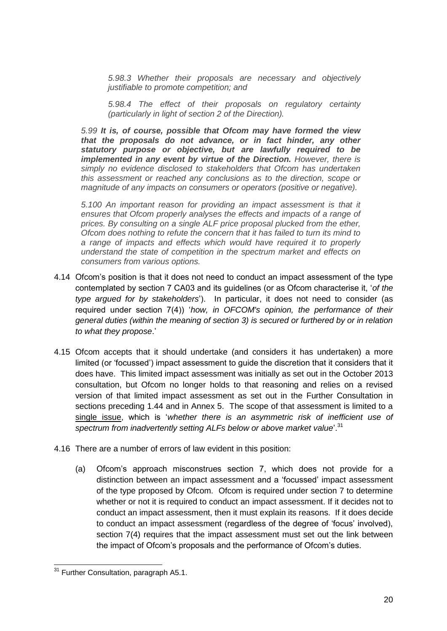*5.98.3 Whether their proposals are necessary and objectively justifiable to promote competition; and* 

*5.98.4 The effect of their proposals on regulatory certainty (particularly in light of section 2 of the Direction).* 

*5.99 It is, of course, possible that Ofcom may have formed the view that the proposals do not advance, or in fact hinder, any other statutory purpose or objective, but are lawfully required to be implemented in any event by virtue of the Direction. However, there is simply no evidence disclosed to stakeholders that Ofcom has undertaken this assessment or reached any conclusions as to the direction, scope or magnitude of any impacts on consumers or operators (positive or negative).* 

*5.100 An important reason for providing an impact assessment is that it ensures that Ofcom properly analyses the effects and impacts of a range of prices. By consulting on a single ALF price proposal plucked from the ether, Ofcom does nothing to refute the concern that it has failed to turn its mind to a range of impacts and effects which would have required it to properly understand the state of competition in the spectrum market and effects on consumers from various options.* 

- 4.14 Ofcom's position is that it does not need to conduct an impact assessment of the type contemplated by section 7 CA03 and its guidelines (or as Ofcom characterise it, '*of the type argued for by stakeholders*'). In particular, it does not need to consider (as required under section 7(4)) '*how, in OFCOM's opinion, the performance of their general duties (within the meaning of section 3) is secured or furthered by or in relation to what they propose*.'
- 4.15 Ofcom accepts that it should undertake (and considers it has undertaken) a more limited (or 'focussed') impact assessment to guide the discretion that it considers that it does have. This limited impact assessment was initially as set out in the October 2013 consultation, but Ofcom no longer holds to that reasoning and relies on a revised version of that limited impact assessment as set out in the Further Consultation in sections preceding 1.44 and in Annex 5. The scope of that assessment is limited to a single issue, which is '*whether there is an asymmetric risk of inefficient use of spectrum from inadvertently setting ALFs below or above market value*'.<sup>31</sup>
- 4.16 There are a number of errors of law evident in this position:
	- (a) Ofcom's approach misconstrues section 7, which does not provide for a distinction between an impact assessment and a 'focussed' impact assessment of the type proposed by Ofcom. Ofcom is required under section 7 to determine whether or not it is required to conduct an impact assessment. If it decides not to conduct an impact assessment, then it must explain its reasons. If it does decide to conduct an impact assessment (regardless of the degree of 'focus' involved), section 7(4) requires that the impact assessment must set out the link between the impact of Ofcom's proposals and the performance of Ofcom's duties.

 $\overline{a}$ 

<sup>&</sup>lt;sup>31</sup> Further Consultation, paragraph A5.1.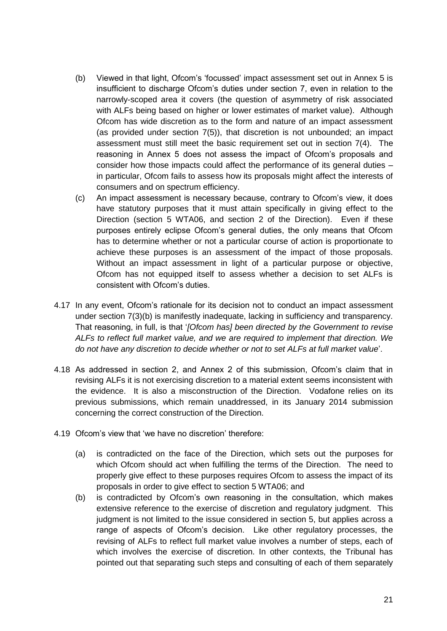- (b) Viewed in that light, Ofcom's 'focussed' impact assessment set out in Annex 5 is insufficient to discharge Ofcom's duties under section 7, even in relation to the narrowly-scoped area it covers (the question of asymmetry of risk associated with ALFs being based on higher or lower estimates of market value). Although Ofcom has wide discretion as to the form and nature of an impact assessment (as provided under section 7(5)), that discretion is not unbounded; an impact assessment must still meet the basic requirement set out in section 7(4). The reasoning in Annex 5 does not assess the impact of Ofcom's proposals and consider how those impacts could affect the performance of its general duties – in particular, Ofcom fails to assess how its proposals might affect the interests of consumers and on spectrum efficiency.
- (c) An impact assessment is necessary because, contrary to Ofcom's view, it does have statutory purposes that it must attain specifically in giving effect to the Direction (section 5 WTA06, and section 2 of the Direction). Even if these purposes entirely eclipse Ofcom's general duties, the only means that Ofcom has to determine whether or not a particular course of action is proportionate to achieve these purposes is an assessment of the impact of those proposals. Without an impact assessment in light of a particular purpose or objective, Ofcom has not equipped itself to assess whether a decision to set ALFs is consistent with Ofcom's duties.
- 4.17 In any event, Ofcom's rationale for its decision not to conduct an impact assessment under section 7(3)(b) is manifestly inadequate, lacking in sufficiency and transparency. That reasoning, in full, is that '*[Ofcom has] been directed by the Government to revise ALFs to reflect full market value, and we are required to implement that direction. We do not have any discretion to decide whether or not to set ALFs at full market value*'.
- 4.18 As addressed in section 2, and Annex 2 of this submission, Ofcom's claim that in revising ALFs it is not exercising discretion to a material extent seems inconsistent with the evidence. It is also a misconstruction of the Direction. Vodafone relies on its previous submissions, which remain unaddressed, in its January 2014 submission concerning the correct construction of the Direction.
- 4.19 Ofcom's view that 'we have no discretion' therefore:
	- (a) is contradicted on the face of the Direction, which sets out the purposes for which Ofcom should act when fulfilling the terms of the Direction. The need to properly give effect to these purposes requires Ofcom to assess the impact of its proposals in order to give effect to section 5 WTA06; and
	- (b) is contradicted by Ofcom's own reasoning in the consultation, which makes extensive reference to the exercise of discretion and regulatory judgment. This judgment is not limited to the issue considered in section 5, but applies across a range of aspects of Ofcom's decision. Like other regulatory processes, the revising of ALFs to reflect full market value involves a number of steps, each of which involves the exercise of discretion. In other contexts, the Tribunal has pointed out that separating such steps and consulting of each of them separately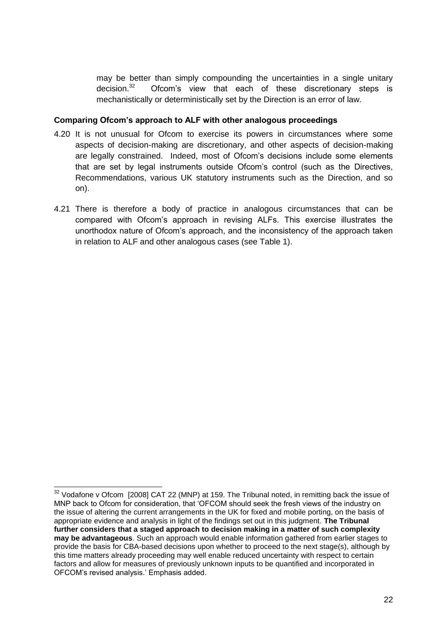may be better than simply compounding the uncertainties in a single unitary decision.<sup>32</sup> Ofcom's view that each of these discretionary steps is mechanistically or deterministically set by the Direction is an error of law.

### **Comparing Ofcom's approach to ALF with other analogous proceedings**

- 4.20 It is not unusual for Ofcom to exercise its powers in circumstances where some aspects of decision-making are discretionary, and other aspects of decision-making are legally constrained. Indeed, most of Ofcom's decisions include some elements that are set by legal instruments outside Ofcom's control (such as the Directives, Recommendations, various UK statutory instruments such as the Direction, and so on).
- 4.21 There is therefore a body of practice in analogous circumstances that can be compared with Ofcom's approach in revising ALFs. This exercise illustrates the unorthodox nature of Ofcom's approach, and the inconsistency of the approach taken in relation to ALF and other analogous cases (see Table 1).

-

 $32$  Vodafone v Ofcom [2008] CAT 22 (MNP) at 159. The Tribunal noted, in remitting back the issue of MNP back to Ofcom for consideration, that 'OFCOM should seek the fresh views of the industry on the issue of altering the current arrangements in the UK for fixed and mobile porting, on the basis of appropriate evidence and analysis in light of the findings set out in this judgment. **The Tribunal**  further considers that a staged approach to decision making in a matter of such complexity **may be advantageous**. Such an approach would enable information gathered from earlier stages to provide the basis for CBA-based decisions upon whether to proceed to the next stage(s), although by this time matters already proceeding may well enable reduced uncertainty with respect to certain factors and allow for measures of previously unknown inputs to be quantified and incorporated in OFCOM's revised analysis.' Emphasis added.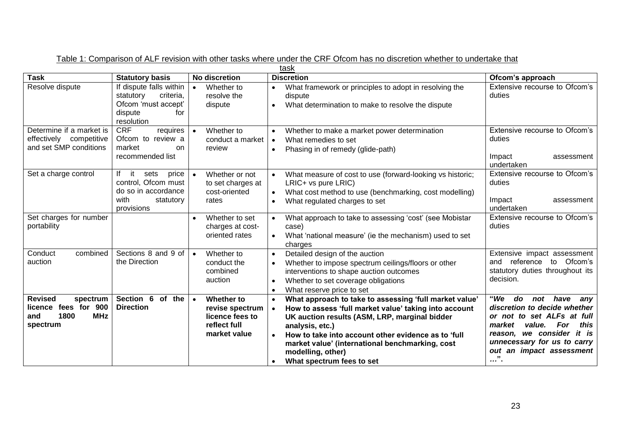| task                                                                                        |                                                                                                          |                                                                                               |                                                                                                                                                                                                                                                                                                                                                                                                     |                                                                                                                                                                                                                                                       |
|---------------------------------------------------------------------------------------------|----------------------------------------------------------------------------------------------------------|-----------------------------------------------------------------------------------------------|-----------------------------------------------------------------------------------------------------------------------------------------------------------------------------------------------------------------------------------------------------------------------------------------------------------------------------------------------------------------------------------------------------|-------------------------------------------------------------------------------------------------------------------------------------------------------------------------------------------------------------------------------------------------------|
| <b>Task</b>                                                                                 | <b>Statutory basis</b>                                                                                   | No discretion                                                                                 | <b>Discretion</b>                                                                                                                                                                                                                                                                                                                                                                                   | Ofcom's approach                                                                                                                                                                                                                                      |
| Resolve dispute                                                                             | If dispute falls within<br>criteria,<br>statutory<br>Ofcom 'must accept'<br>dispute<br>for<br>resolution | Whether to<br>$\bullet$<br>resolve the<br>dispute                                             | What framework or principles to adopt in resolving the<br>$\bullet$<br>dispute<br>What determination to make to resolve the dispute<br>$\bullet$                                                                                                                                                                                                                                                    | Extensive recourse to Ofcom's<br>duties                                                                                                                                                                                                               |
| Determine if a market is<br>effectively competitive<br>and set SMP conditions               | <b>CRF</b><br>requires<br>Ofcom to review a<br>market<br>on<br>recommended list                          | Whether to<br>$\bullet$<br>conduct a market<br>review                                         | Whether to make a market power determination<br>$\bullet$<br>What remedies to set<br>$\bullet$<br>Phasing in of remedy (glide-path)<br>$\bullet$                                                                                                                                                                                                                                                    | Extensive recourse to Ofcom's<br>duties<br>Impact<br>assessment<br>undertaken                                                                                                                                                                         |
| Set a charge control                                                                        | it<br>sets<br>price<br>control, Ofcom must<br>do so in accordance<br>with<br>statutory<br>provisions     | Whether or not<br>$\bullet$<br>to set charges at<br>cost-oriented<br>rates                    | What measure of cost to use (forward-looking vs historic;<br>$\bullet$<br>LRIC+ vs pure LRIC)<br>What cost method to use (benchmarking, cost modelling)<br>$\bullet$<br>What regulated charges to set<br>$\bullet$                                                                                                                                                                                  | Extensive recourse to Ofcom's<br>duties<br>Impact<br>assessment<br>undertaken                                                                                                                                                                         |
| Set charges for number<br>portability                                                       |                                                                                                          | Whether to set<br>$\bullet$<br>charges at cost-<br>oriented rates                             | What approach to take to assessing 'cost' (see Mobistar<br>$\bullet$<br>case)<br>What 'national measure' (ie the mechanism) used to set<br>charges                                                                                                                                                                                                                                                  | Extensive recourse to Ofcom's<br>duties                                                                                                                                                                                                               |
| combined<br>Conduct<br>auction                                                              | Sections 8 and 9 of<br>the Direction                                                                     | Whether to<br>$\bullet$<br>conduct the<br>combined<br>auction                                 | Detailed design of the auction<br>$\bullet$<br>Whether to impose spectrum ceilings/floors or other<br>$\bullet$<br>interventions to shape auction outcomes<br>Whether to set coverage obligations<br>$\bullet$<br>What reserve price to set<br>$\bullet$                                                                                                                                            | Extensive impact assessment<br>and reference<br>Ofcom's<br>to<br>statutory duties throughout its<br>decision.                                                                                                                                         |
| <b>Revised</b><br>spectrum<br>licence fees for 900<br>1800<br><b>MHz</b><br>and<br>spectrum | Section $6$<br><b>of</b><br>the<br><b>Direction</b>                                                      | Whether to<br>$\bullet$<br>revise spectrum<br>licence fees to<br>reflect full<br>market value | What approach to take to assessing 'full market value'<br>$\bullet$<br>How to assess 'full market value' taking into account<br>$\bullet$<br>UK auction results (ASM, LRP, marginal bidder<br>analysis, etc.)<br>How to take into account other evidence as to 'full<br>$\bullet$<br>market value' (international benchmarking, cost<br>modelling, other)<br>What spectrum fees to set<br>$\bullet$ | "We<br>do<br>not<br>have<br>any<br>discretion to decide whether<br>or not to set ALFs at full<br>this<br>market<br>value.<br>For<br>reason, we consider<br>it is<br>unnecessary for us to carry<br>out an impact assessment<br>$^{\prime\prime}$<br>. |

Table 1: Comparison of ALF revision with other tasks where under the CRF Ofcom has no discretion whether to undertake that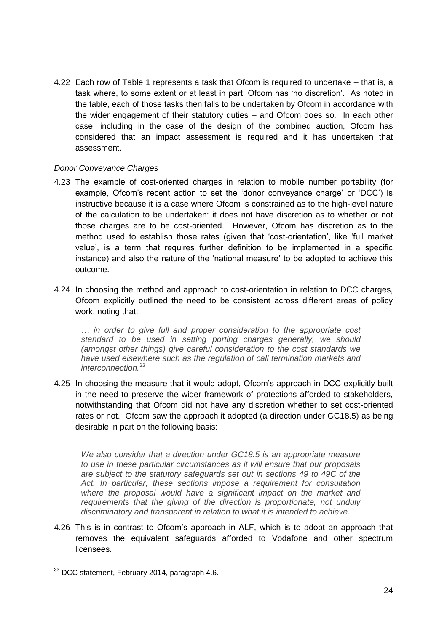4.22 Each row of Table 1 represents a task that Ofcom is required to undertake – that is, a task where, to some extent or at least in part, Ofcom has 'no discretion'. As noted in the table, each of those tasks then falls to be undertaken by Ofcom in accordance with the wider engagement of their statutory duties – and Ofcom does so. In each other case, including in the case of the design of the combined auction, Ofcom has considered that an impact assessment is required and it has undertaken that assessment.

### *Donor Conveyance Charges*

- 4.23 The example of cost-oriented charges in relation to mobile number portability (for example, Ofcom's recent action to set the 'donor conveyance charge' or 'DCC') is instructive because it is a case where Ofcom is constrained as to the high-level nature of the calculation to be undertaken: it does not have discretion as to whether or not those charges are to be cost-oriented. However, Ofcom has discretion as to the method used to establish those rates (given that 'cost-orientation', like 'full market value', is a term that requires further definition to be implemented in a specific instance) and also the nature of the 'national measure' to be adopted to achieve this outcome.
- 4.24 In choosing the method and approach to cost-orientation in relation to DCC charges, Ofcom explicitly outlined the need to be consistent across different areas of policy work, noting that:

*… in order to give full and proper consideration to the appropriate cost standard to be used in setting porting charges generally, we should (amongst other things) give careful consideration to the cost standards we have used elsewhere such as the regulation of call termination markets and interconnection.<sup>33</sup>* 

4.25 In choosing the measure that it would adopt, Ofcom's approach in DCC explicitly built in the need to preserve the wider framework of protections afforded to stakeholders, notwithstanding that Ofcom did not have any discretion whether to set cost-oriented rates or not. Ofcom saw the approach it adopted (a direction under GC18.5) as being desirable in part on the following basis:

*We also consider that a direction under GC18.5 is an appropriate measure to use in these particular circumstances as it will ensure that our proposals are subject to the statutory safeguards set out in sections 49 to 49C of the Act. In particular, these sections impose a requirement for consultation where the proposal would have a significant impact on the market and requirements that the giving of the direction is proportionate, not unduly discriminatory and transparent in relation to what it is intended to achieve.*

4.26 This is in contrast to Ofcom's approach in ALF, which is to adopt an approach that removes the equivalent safeguards afforded to Vodafone and other spectrum licensees.

 $\overline{a}$ 

 $33$  DCC statement, February 2014, paragraph 4.6.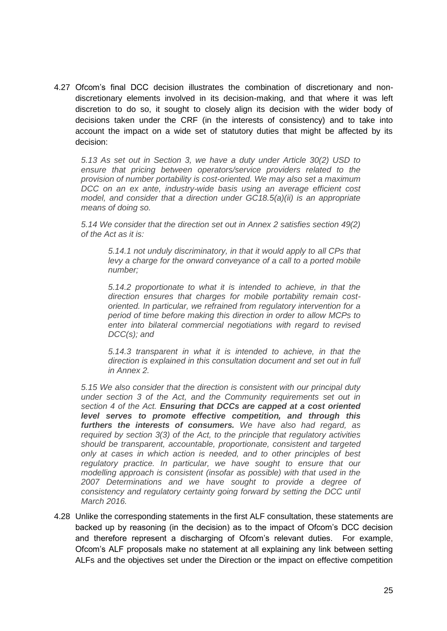4.27 Ofcom's final DCC decision illustrates the combination of discretionary and nondiscretionary elements involved in its decision-making, and that where it was left discretion to do so, it sought to closely align its decision with the wider body of decisions taken under the CRF (in the interests of consistency) and to take into account the impact on a wide set of statutory duties that might be affected by its decision:

*5.13 As set out in Section 3, we have a duty under Article 30(2) USD to ensure that pricing between operators/service providers related to the provision of number portability is cost-oriented. We may also set a maximum DCC on an ex ante, industry-wide basis using an average efficient cost model, and consider that a direction under GC18.5(a)(ii) is an appropriate means of doing so.* 

*5.14 We consider that the direction set out in Annex 2 satisfies section 49(2) of the Act as it is:*

*5.14.1 not unduly discriminatory, in that it would apply to all CPs that levy a charge for the onward conveyance of a call to a ported mobile number;*

*5.14.2 proportionate to what it is intended to achieve, in that the direction ensures that charges for mobile portability remain costoriented. In particular, we refrained from regulatory intervention for a period of time before making this direction in order to allow MCPs to enter into bilateral commercial negotiations with regard to revised DCC(s); and*

*5.14.3 transparent in what it is intended to achieve, in that the direction is explained in this consultation document and set out in full in Annex 2.* 

*5.15 We also consider that the direction is consistent with our principal duty under section 3 of the Act, and the Community requirements set out in section 4 of the Act. Ensuring that DCCs are capped at a cost oriented level serves to promote effective competition, and through this furthers the interests of consumers. We have also had regard, as required by section 3(3) of the Act, to the principle that regulatory activities should be transparent, accountable, proportionate, consistent and targeted only at cases in which action is needed, and to other principles of best regulatory practice. In particular, we have sought to ensure that our modelling approach is consistent (insofar as possible) with that used in the 2007 Determinations and we have sought to provide a degree of consistency and regulatory certainty going forward by setting the DCC until March 2016.*

4.28 Unlike the corresponding statements in the first ALF consultation, these statements are backed up by reasoning (in the decision) as to the impact of Ofcom's DCC decision and therefore represent a discharging of Ofcom's relevant duties. For example, Ofcom's ALF proposals make no statement at all explaining any link between setting ALFs and the objectives set under the Direction or the impact on effective competition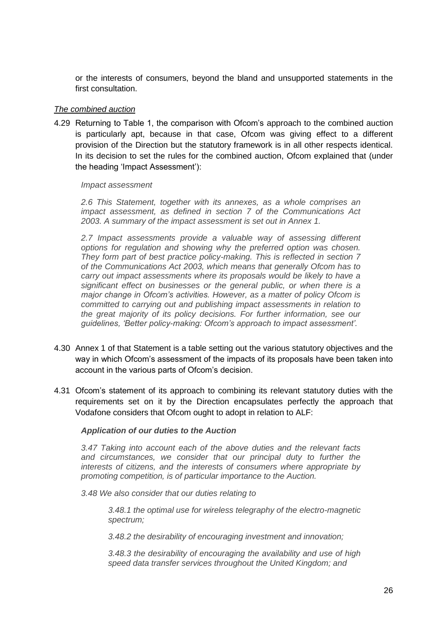or the interests of consumers, beyond the bland and unsupported statements in the first consultation.

#### *The combined auction*

4.29 Returning to Table 1, the comparison with Ofcom's approach to the combined auction is particularly apt, because in that case, Ofcom was giving effect to a different provision of the Direction but the statutory framework is in all other respects identical. In its decision to set the rules for the combined auction, Ofcom explained that (under the heading 'Impact Assessment'):

#### *Impact assessment*

*2.6 This Statement, together with its annexes, as a whole comprises an impact assessment, as defined in section 7 of the Communications Act 2003. A summary of the impact assessment is set out in Annex 1.*

*2.7 Impact assessments provide a valuable way of assessing different options for regulation and showing why the preferred option was chosen. They form part of best practice policy-making. This is reflected in section 7 of the Communications Act 2003, which means that generally Ofcom has to carry out impact assessments where its proposals would be likely to have a significant effect on businesses or the general public, or when there is a major change in Ofcom's activities. However, as a matter of policy Ofcom is committed to carrying out and publishing impact assessments in relation to the great majority of its policy decisions. For further information, see our guidelines, 'Better policy-making: Ofcom's approach to impact assessment'.*

- 4.30 Annex 1 of that Statement is a table setting out the various statutory objectives and the way in which Ofcom's assessment of the impacts of its proposals have been taken into account in the various parts of Ofcom's decision.
- 4.31 Ofcom's statement of its approach to combining its relevant statutory duties with the requirements set on it by the Direction encapsulates perfectly the approach that Vodafone considers that Ofcom ought to adopt in relation to ALF:

#### *Application of our duties to the Auction*

*3.47 Taking into account each of the above duties and the relevant facts and circumstances, we consider that our principal duty to further the interests of citizens, and the interests of consumers where appropriate by promoting competition, is of particular importance to the Auction.*

*3.48 We also consider that our duties relating to*

*3.48.1 the optimal use for wireless telegraphy of the electro-magnetic spectrum;*

*3.48.2 the desirability of encouraging investment and innovation;*

*3.48.3 the desirability of encouraging the availability and use of high speed data transfer services throughout the United Kingdom; and*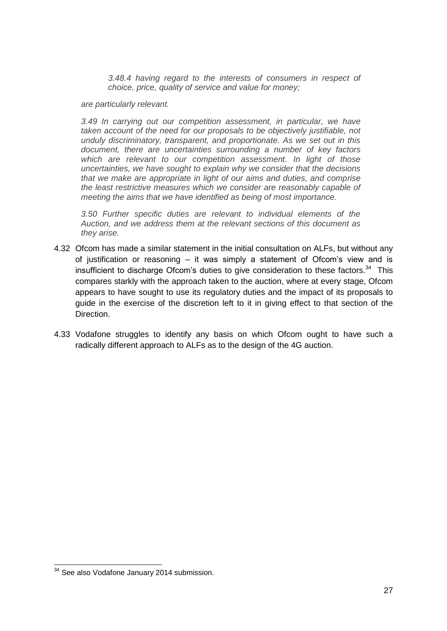*3.48.4 having regard to the interests of consumers in respect of choice, price, quality of service and value for money;*

*are particularly relevant.*

*3.49 In carrying out our competition assessment, in particular, we have taken account of the need for our proposals to be objectively justifiable, not unduly discriminatory, transparent, and proportionate. As we set out in this document, there are uncertainties surrounding a number of key factors which are relevant to our competition assessment. In light of those uncertainties, we have sought to explain why we consider that the decisions that we make are appropriate in light of our aims and duties, and comprise the least restrictive measures which we consider are reasonably capable of meeting the aims that we have identified as being of most importance.*

*3.50 Further specific duties are relevant to individual elements of the Auction, and we address them at the relevant sections of this document as they arise.*

- 4.32 Ofcom has made a similar statement in the initial consultation on ALFs, but without any of justification or reasoning – it was simply a statement of Ofcom's view and is insufficient to discharge Ofcom's duties to give consideration to these factors. $34$  This compares starkly with the approach taken to the auction, where at every stage, Ofcom appears to have sought to use its regulatory duties and the impact of its proposals to guide in the exercise of the discretion left to it in giving effect to that section of the Direction.
- 4.33 Vodafone struggles to identify any basis on which Ofcom ought to have such a radically different approach to ALFs as to the design of the 4G auction.

 $\overline{a}$ 

<sup>&</sup>lt;sup>34</sup> See also Vodafone January 2014 submission.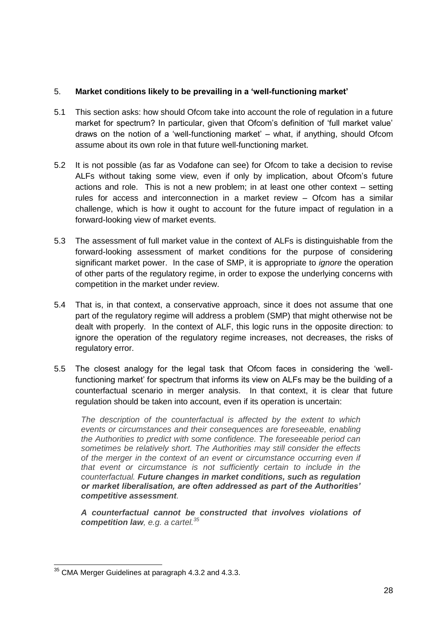## 5. **Market conditions likely to be prevailing in a 'well-functioning market'**

- 5.1 This section asks: how should Ofcom take into account the role of regulation in a future market for spectrum? In particular, given that Ofcom's definition of 'full market value' draws on the notion of a 'well-functioning market' – what, if anything, should Ofcom assume about its own role in that future well-functioning market.
- 5.2 It is not possible (as far as Vodafone can see) for Ofcom to take a decision to revise ALFs without taking some view, even if only by implication, about Ofcom's future actions and role. This is not a new problem; in at least one other context – setting rules for access and interconnection in a market review – Ofcom has a similar challenge, which is how it ought to account for the future impact of regulation in a forward-looking view of market events.
- 5.3 The assessment of full market value in the context of ALFs is distinguishable from the forward-looking assessment of market conditions for the purpose of considering significant market power. In the case of SMP, it is appropriate to *ignore* the operation of other parts of the regulatory regime, in order to expose the underlying concerns with competition in the market under review.
- 5.4 That is, in that context, a conservative approach, since it does not assume that one part of the regulatory regime will address a problem (SMP) that might otherwise not be dealt with properly. In the context of ALF, this logic runs in the opposite direction: to ignore the operation of the regulatory regime increases, not decreases, the risks of regulatory error.
- 5.5 The closest analogy for the legal task that Ofcom faces in considering the 'wellfunctioning market' for spectrum that informs its view on ALFs may be the building of a counterfactual scenario in merger analysis. In that context, it is clear that future regulation should be taken into account, even if its operation is uncertain:

*The description of the counterfactual is affected by the extent to which events or circumstances and their consequences are foreseeable, enabling the Authorities to predict with some confidence. The foreseeable period can sometimes be relatively short. The Authorities may still consider the effects of the merger in the context of an event or circumstance occurring even if that event or circumstance is not sufficiently certain to include in the counterfactual. Future changes in market conditions, such as regulation or market liberalisation, are often addressed as part of the Authorities' competitive assessment.*

*A counterfactual cannot be constructed that involves violations of competition law, e.g. a cartel.<sup>35</sup>*

 $\overline{a}$  $35$  CMA Merger Guidelines at paragraph 4.3.2 and 4.3.3.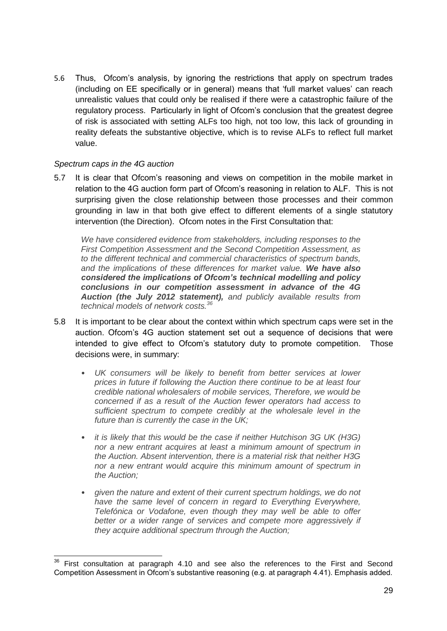5.6 Thus, Ofcom's analysis, by ignoring the restrictions that apply on spectrum trades (including on EE specifically or in general) means that 'full market values' can reach unrealistic values that could only be realised if there were a catastrophic failure of the regulatory process. Particularly in light of Ofcom's conclusion that the greatest degree of risk is associated with setting ALFs too high, not too low, this lack of grounding in reality defeats the substantive objective, which is to revise ALFs to reflect full market value.

### *Spectrum caps in the 4G auction*

5.7 It is clear that Ofcom's reasoning and views on competition in the mobile market in relation to the 4G auction form part of Ofcom's reasoning in relation to ALF. This is not surprising given the close relationship between those processes and their common grounding in law in that both give effect to different elements of a single statutory intervention (the Direction). Ofcom notes in the First Consultation that:

*We have considered evidence from stakeholders, including responses to the First Competition Assessment and the Second Competition Assessment, as to the different technical and commercial characteristics of spectrum bands, and the implications of these differences for market value. We have also considered the implications of Ofcom's technical modelling and policy conclusions in our competition assessment in advance of the 4G Auction (the July 2012 statement), and publicly available results from technical models of network costs.<sup>36</sup>*

- 5.8 It is important to be clear about the context within which spectrum caps were set in the auction. Ofcom's 4G auction statement set out a sequence of decisions that were intended to give effect to Ofcom's statutory duty to promote competition. Those decisions were, in summary:
	- *UK consumers will be likely to benefit from better services at lower prices in future if following the Auction there continue to be at least four credible national wholesalers of mobile services, Therefore, we would be concerned if as a result of the Auction fewer operators had access to sufficient spectrum to compete credibly at the wholesale level in the future than is currently the case in the UK;*
	- *it is likely that this would be the case if neither Hutchison 3G UK (H3G) nor a new entrant acquires at least a minimum amount of spectrum in the Auction. Absent intervention, there is a material risk that neither H3G nor a new entrant would acquire this minimum amount of spectrum in the Auction;*
	- *given the nature and extent of their current spectrum holdings, we do not have the same level of concern in regard to Everything Everywhere, Telefónica or Vodafone, even though they may well be able to offer better or a wider range of services and compete more aggressively if they acquire additional spectrum through the Auction;*

 $\overline{1}$  $36$  First consultation at paragraph 4.10 and see also the references to the First and Second Competition Assessment in Ofcom's substantive reasoning (e.g. at paragraph 4.41). Emphasis added.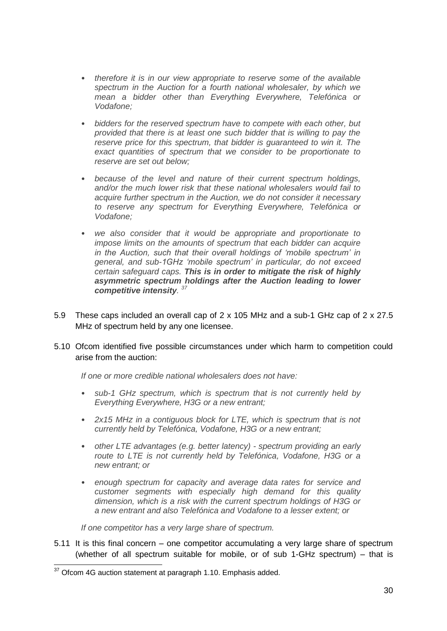- *therefore it is in our view appropriate to reserve some of the available spectrum in the Auction for a fourth national wholesaler, by which we mean a bidder other than Everything Everywhere, Telefónica or Vodafone;*
- *bidders for the reserved spectrum have to compete with each other, but provided that there is at least one such bidder that is willing to pay the reserve price for this spectrum, that bidder is guaranteed to win it. The exact quantities of spectrum that we consider to be proportionate to reserve are set out below;*
- *because of the level and nature of their current spectrum holdings, and/or the much lower risk that these national wholesalers would fail to acquire further spectrum in the Auction, we do not consider it necessary to reserve any spectrum for Everything Everywhere, Telefónica or Vodafone;*
- *we also consider that it would be appropriate and proportionate to impose limits on the amounts of spectrum that each bidder can acquire in the Auction, such that their overall holdings of 'mobile spectrum' in general, and sub-1GHz 'mobile spectrum' in particular, do not exceed certain safeguard caps. This is in order to mitigate the risk of highly asymmetric spectrum holdings after the Auction leading to lower competitive intensity. 37*
- 5.9 These caps included an overall cap of 2 x 105 MHz and a sub-1 GHz cap of 2 x 27.5 MHz of spectrum held by any one licensee.
- 5.10 Ofcom identified five possible circumstances under which harm to competition could arise from the auction:

*If one or more credible national wholesalers does not have:* 

- *sub-1 GHz spectrum, which is spectrum that is not currently held by Everything Everywhere, H3G or a new entrant;*
- *2x15 MHz in a contiguous block for LTE, which is spectrum that is not currently held by Telefónica, Vodafone, H3G or a new entrant;*
- *other LTE advantages (e.g. better latency) - spectrum providing an early route to LTE is not currently held by Telefónica, Vodafone, H3G or a new entrant; or*
- *enough spectrum for capacity and average data rates for service and customer segments with especially high demand for this quality dimension, which is a risk with the current spectrum holdings of H3G or a new entrant and also Telefónica and Vodafone to a lesser extent; or*

*If one competitor has a very large share of spectrum.*

5.11 It is this final concern – one competitor accumulating a very large share of spectrum (whether of all spectrum suitable for mobile, or of sub 1-GHz spectrum) – that is

 $\overline{a}$  $37$  Ofcom 4G auction statement at paragraph 1.10. Emphasis added.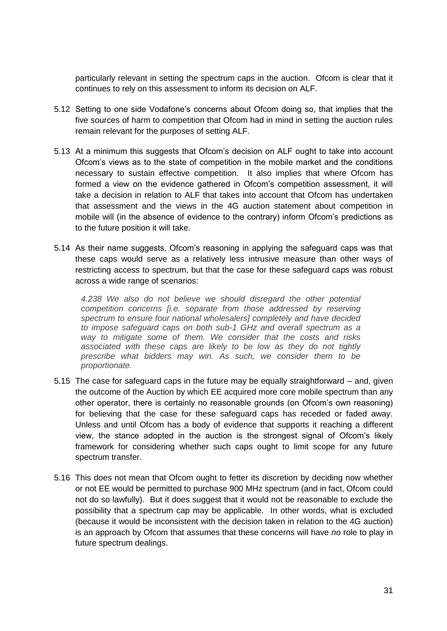particularly relevant in setting the spectrum caps in the auction. Ofcom is clear that it continues to rely on this assessment to inform its decision on ALF.

- 5.12 Setting to one side Vodafone's concerns about Ofcom doing so, that implies that the five sources of harm to competition that Ofcom had in mind in setting the auction rules remain relevant for the purposes of setting ALF.
- 5.13 At a minimum this suggests that Ofcom's decision on ALF ought to take into account Ofcom's views as to the state of competition in the mobile market and the conditions necessary to sustain effective competition. It also implies that where Ofcom has formed a view on the evidence gathered in Ofcom's competition assessment, it will take a decision in relation to ALF that takes into account that Ofcom has undertaken that assessment and the views in the 4G auction statement about competition in mobile will (in the absence of evidence to the contrary) inform Ofcom's predictions as to the future position it will take.
- 5.14 As their name suggests, Ofcom's reasoning in applying the safeguard caps was that these caps would serve as a relatively less intrusive measure than other ways of restricting access to spectrum, but that the case for these safeguard caps was robust across a wide range of scenarios:

*4.238 We also do not believe we should disregard the other potential competition concerns [i.e. separate from those addressed by reserving spectrum to ensure four national wholesalers] completely and have decided to impose safeguard caps on both sub-1 GHz and overall spectrum as a way to mitigate some of them. We consider that the costs and risks associated with these caps are likely to be low as they do not tightly prescribe what bidders may win. As such, we consider them to be proportionate.* 

- 5.15 The case for safeguard caps in the future may be equally straightforward and, given the outcome of the Auction by which EE acquired more core mobile spectrum than any other operator, there is certainly no reasonable grounds (on Ofcom's own reasoning) for believing that the case for these safeguard caps has receded or faded away. Unless and until Ofcom has a body of evidence that supports it reaching a different view, the stance adopted in the auction is the strongest signal of Ofcom's likely framework for considering whether such caps ought to limit scope for any future spectrum transfer.
- 5.16 This does not mean that Ofcom ought to fetter its discretion by deciding now whether or not EE would be permitted to purchase 900 MHz spectrum (and in fact, Ofcom could not do so lawfully). But it does suggest that it would not be reasonable to exclude the possibility that a spectrum cap may be applicable. In other words, what is excluded (because it would be inconsistent with the decision taken in relation to the 4G auction) is an approach by Ofcom that assumes that these concerns will have *no* role to play in future spectrum dealings.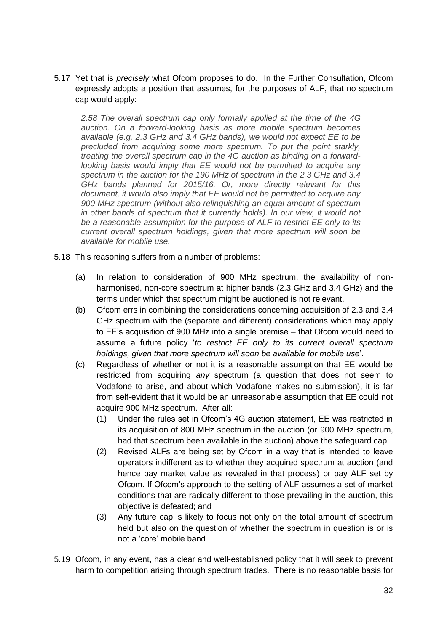5.17 Yet that is *precisely* what Ofcom proposes to do. In the Further Consultation, Ofcom expressly adopts a position that assumes, for the purposes of ALF, that no spectrum cap would apply:

*2.58 The overall spectrum cap only formally applied at the time of the 4G auction. On a forward-looking basis as more mobile spectrum becomes available (e.g. 2.3 GHz and 3.4 GHz bands), we would not expect EE to be precluded from acquiring some more spectrum. To put the point starkly, treating the overall spectrum cap in the 4G auction as binding on a forwardlooking basis would imply that EE would not be permitted to acquire any spectrum in the auction for the 190 MHz of spectrum in the 2.3 GHz and 3.4 GHz bands planned for 2015/16. Or, more directly relevant for this document, it would also imply that EE would not be permitted to acquire any 900 MHz spectrum (without also relinquishing an equal amount of spectrum*  in other bands of spectrum that it currently holds). In our view, it would not *be a reasonable assumption for the purpose of ALF to restrict EE only to its current overall spectrum holdings, given that more spectrum will soon be available for mobile use.*

- 5.18 This reasoning suffers from a number of problems:
	- (a) In relation to consideration of 900 MHz spectrum, the availability of nonharmonised, non-core spectrum at higher bands (2.3 GHz and 3.4 GHz) and the terms under which that spectrum might be auctioned is not relevant.
	- (b) Ofcom errs in combining the considerations concerning acquisition of 2.3 and 3.4 GHz spectrum with the (separate and different) considerations which may apply to EE's acquisition of 900 MHz into a single premise – that Ofcom would need to assume a future policy '*to restrict EE only to its current overall spectrum holdings, given that more spectrum will soon be available for mobile use*'.
	- (c) Regardless of whether or not it is a reasonable assumption that EE would be restricted from acquiring *any* spectrum (a question that does not seem to Vodafone to arise, and about which Vodafone makes no submission), it is far from self-evident that it would be an unreasonable assumption that EE could not acquire 900 MHz spectrum. After all:
		- (1) Under the rules set in Ofcom's 4G auction statement, EE was restricted in its acquisition of 800 MHz spectrum in the auction (or 900 MHz spectrum, had that spectrum been available in the auction) above the safeguard cap;
		- (2) Revised ALFs are being set by Ofcom in a way that is intended to leave operators indifferent as to whether they acquired spectrum at auction (and hence pay market value as revealed in that process) or pay ALF set by Ofcom. If Ofcom's approach to the setting of ALF assumes a set of market conditions that are radically different to those prevailing in the auction, this objective is defeated; and
		- (3) Any future cap is likely to focus not only on the total amount of spectrum held but also on the question of whether the spectrum in question is or is not a 'core' mobile band.
- 5.19 Ofcom, in any event, has a clear and well-established policy that it will seek to prevent harm to competition arising through spectrum trades. There is no reasonable basis for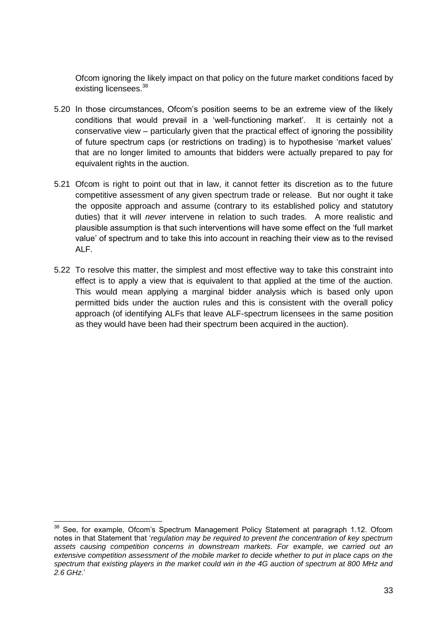Ofcom ignoring the likely impact on that policy on the future market conditions faced by existing licensees.<sup>38</sup>

- 5.20 In those circumstances, Ofcom's position seems to be an extreme view of the likely conditions that would prevail in a 'well-functioning market'. It is certainly not a conservative view – particularly given that the practical effect of ignoring the possibility of future spectrum caps (or restrictions on trading) is to hypothesise 'market values' that are no longer limited to amounts that bidders were actually prepared to pay for equivalent rights in the auction.
- 5.21 Ofcom is right to point out that in law, it cannot fetter its discretion as to the future competitive assessment of any given spectrum trade or release. But nor ought it take the opposite approach and assume (contrary to its established policy and statutory duties) that it will *never* intervene in relation to such trades. A more realistic and plausible assumption is that such interventions will have some effect on the 'full market value' of spectrum and to take this into account in reaching their view as to the revised ALF.
- 5.22 To resolve this matter, the simplest and most effective way to take this constraint into effect is to apply a view that is equivalent to that applied at the time of the auction. This would mean applying a marginal bidder analysis which is based only upon permitted bids under the auction rules and this is consistent with the overall policy approach (of identifying ALFs that leave ALF-spectrum licensees in the same position as they would have been had their spectrum been acquired in the auction).

<sup>-</sup><sup>38</sup> See, for example, Ofcom's Spectrum Management Policy Statement at paragraph 1.12. Ofcom notes in that Statement that '*regulation may be required to prevent the concentration of key spectrum assets causing competition concerns in downstream markets. For example, we carried out an extensive competition assessment of the mobile market to decide whether to put in place caps on the spectrum that existing players in the market could win in the 4G auction of spectrum at 800 MHz and 2.6 GHz*.'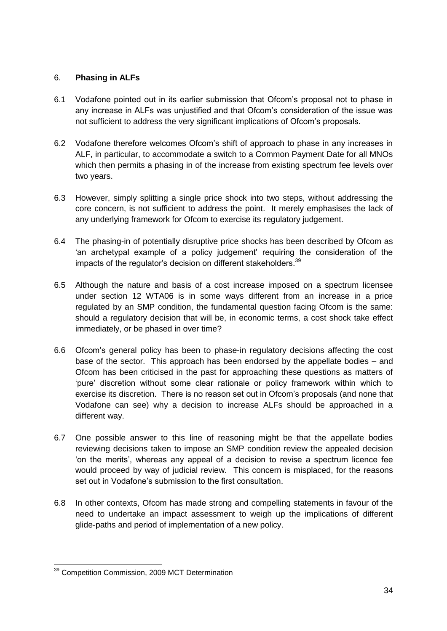# 6. **Phasing in ALFs**

- 6.1 Vodafone pointed out in its earlier submission that Ofcom's proposal not to phase in any increase in ALFs was unjustified and that Ofcom's consideration of the issue was not sufficient to address the very significant implications of Ofcom's proposals.
- 6.2 Vodafone therefore welcomes Ofcom's shift of approach to phase in any increases in ALF, in particular, to accommodate a switch to a Common Payment Date for all MNOs which then permits a phasing in of the increase from existing spectrum fee levels over two years.
- 6.3 However, simply splitting a single price shock into two steps, without addressing the core concern, is not sufficient to address the point. It merely emphasises the lack of any underlying framework for Ofcom to exercise its regulatory judgement.
- 6.4 The phasing-in of potentially disruptive price shocks has been described by Ofcom as 'an archetypal example of a policy judgement' requiring the consideration of the impacts of the regulator's decision on different stakeholders.<sup>39</sup>
- 6.5 Although the nature and basis of a cost increase imposed on a spectrum licensee under section 12 WTA06 is in some ways different from an increase in a price regulated by an SMP condition, the fundamental question facing Ofcom is the same: should a regulatory decision that will be, in economic terms, a cost shock take effect immediately, or be phased in over time?
- 6.6 Ofcom's general policy has been to phase-in regulatory decisions affecting the cost base of the sector. This approach has been endorsed by the appellate bodies – and Ofcom has been criticised in the past for approaching these questions as matters of 'pure' discretion without some clear rationale or policy framework within which to exercise its discretion. There is no reason set out in Ofcom's proposals (and none that Vodafone can see) why a decision to increase ALFs should be approached in a different way.
- 6.7 One possible answer to this line of reasoning might be that the appellate bodies reviewing decisions taken to impose an SMP condition review the appealed decision 'on the merits', whereas any appeal of a decision to revise a spectrum licence fee would proceed by way of judicial review. This concern is misplaced, for the reasons set out in Vodafone's submission to the first consultation.
- 6.8 In other contexts, Ofcom has made strong and compelling statements in favour of the need to undertake an impact assessment to weigh up the implications of different glide-paths and period of implementation of a new policy.

 $\overline{a}$ <sup>39</sup> Competition Commission, 2009 MCT Determination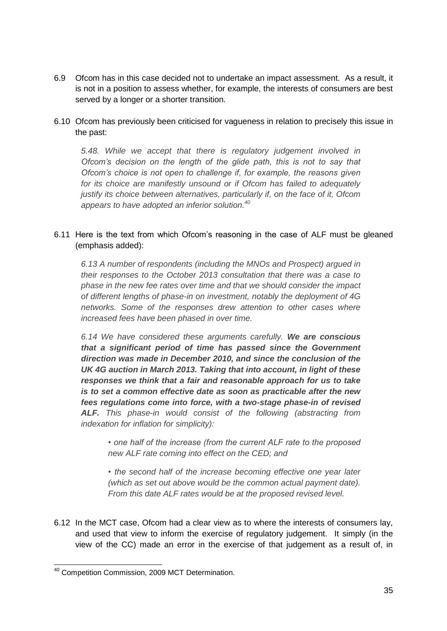- 6.9 Ofcom has in this case decided not to undertake an impact assessment. As a result, it is not in a position to assess whether, for example, the interests of consumers are best served by a longer or a shorter transition.
- 6.10 Ofcom has previously been criticised for vagueness in relation to precisely this issue in the past:

*5.48. While we accept that there is regulatory judgement involved in Ofcom's decision on the length of the glide path, this is not to say that Ofcom's choice is not open to challenge if, for example, the reasons given for its choice are manifestly unsound or if Ofcom has failed to adequately justify its choice between alternatives, particularly if, on the face of it, Ofcom appears to have adopted an inferior solution.<sup>40</sup>*

## 6.11 Here is the text from which Ofcom's reasoning in the case of ALF must be gleaned (emphasis added):

*6.13 A number of respondents (including the MNOs and Prospect) argued in their responses to the October 2013 consultation that there was a case to phase in the new fee rates over time and that we should consider the impact of different lengths of phase-in on investment, notably the deployment of 4G networks. Some of the responses drew attention to other cases where increased fees have been phased in over time.* 

*6.14 We have considered these arguments carefully. We are conscious that a significant period of time has passed since the Government direction was made in December 2010, and since the conclusion of the UK 4G auction in March 2013. Taking that into account, in light of these responses we think that a fair and reasonable approach for us to take is to set a common effective date as soon as practicable after the new fees regulations come into force, with a two-stage phase-in of revised ALF. This phase-in would consist of the following (abstracting from indexation for inflation for simplicity):* 

*• one half of the increase (from the current ALF rate to the proposed new ALF rate coming into effect on the CED; and* 

*• the second half of the increase becoming effective one year later (which as set out above would be the common actual payment date). From this date ALF rates would be at the proposed revised level.* 

6.12 In the MCT case, Ofcom had a clear view as to where the interests of consumers lay, and used that view to inform the exercise of regulatory judgement. It simply (in the view of the CC) made an error in the exercise of that judgement as a result of, in

 $\overline{a}$ <sup>40</sup> Competition Commission, 2009 MCT Determination.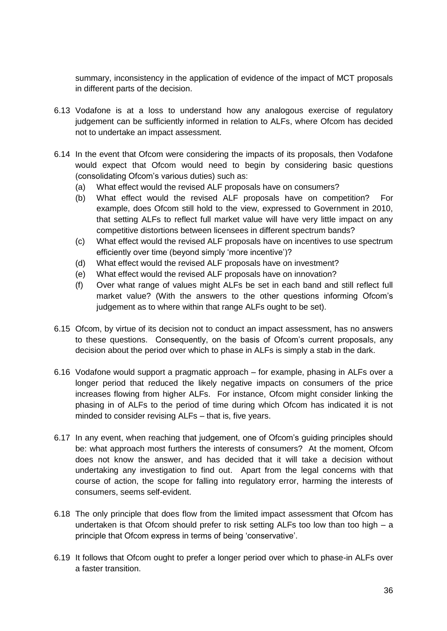summary, inconsistency in the application of evidence of the impact of MCT proposals in different parts of the decision.

- 6.13 Vodafone is at a loss to understand how any analogous exercise of regulatory judgement can be sufficiently informed in relation to ALFs, where Ofcom has decided not to undertake an impact assessment.
- 6.14 In the event that Ofcom were considering the impacts of its proposals, then Vodafone would expect that Ofcom would need to begin by considering basic questions (consolidating Ofcom's various duties) such as:
	- (a) What effect would the revised ALF proposals have on consumers?
	- (b) What effect would the revised ALF proposals have on competition? For example, does Ofcom still hold to the view, expressed to Government in 2010, that setting ALFs to reflect full market value will have very little impact on any competitive distortions between licensees in different spectrum bands?
	- (c) What effect would the revised ALF proposals have on incentives to use spectrum efficiently over time (beyond simply 'more incentive')?
	- (d) What effect would the revised ALF proposals have on investment?
	- (e) What effect would the revised ALF proposals have on innovation?
	- (f) Over what range of values might ALFs be set in each band and still reflect full market value? (With the answers to the other questions informing Ofcom's judgement as to where within that range ALFs ought to be set).
- 6.15 Ofcom, by virtue of its decision not to conduct an impact assessment, has no answers to these questions. Consequently, on the basis of Ofcom's current proposals, any decision about the period over which to phase in ALFs is simply a stab in the dark.
- 6.16 Vodafone would support a pragmatic approach for example, phasing in ALFs over a longer period that reduced the likely negative impacts on consumers of the price increases flowing from higher ALFs. For instance, Ofcom might consider linking the phasing in of ALFs to the period of time during which Ofcom has indicated it is not minded to consider revising ALFs – that is, five years.
- 6.17 In any event, when reaching that judgement, one of Ofcom's guiding principles should be: what approach most furthers the interests of consumers? At the moment, Ofcom does not know the answer, and has decided that it will take a decision without undertaking any investigation to find out. Apart from the legal concerns with that course of action, the scope for falling into regulatory error, harming the interests of consumers, seems self-evident.
- 6.18 The only principle that does flow from the limited impact assessment that Ofcom has undertaken is that Ofcom should prefer to risk setting ALFs too low than too high – a principle that Ofcom express in terms of being 'conservative'.
- 6.19 It follows that Ofcom ought to prefer a longer period over which to phase-in ALFs over a faster transition.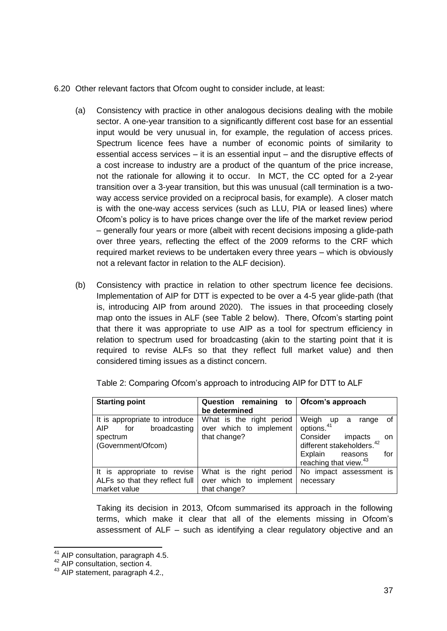- 6.20 Other relevant factors that Ofcom ought to consider include, at least:
	- (a) Consistency with practice in other analogous decisions dealing with the mobile sector. A one-year transition to a significantly different cost base for an essential input would be very unusual in, for example, the regulation of access prices. Spectrum licence fees have a number of economic points of similarity to essential access services – it is an essential input – and the disruptive effects of a cost increase to industry are a product of the quantum of the price increase, not the rationale for allowing it to occur. In MCT, the CC opted for a 2-year transition over a 3-year transition, but this was unusual (call termination is a twoway access service provided on a reciprocal basis, for example). A closer match is with the one-way access services (such as LLU, PIA or leased lines) where Ofcom's policy is to have prices change over the life of the market review period – generally four years or more (albeit with recent decisions imposing a glide-path over three years, reflecting the effect of the 2009 reforms to the CRF which required market reviews to be undertaken every three years – which is obviously not a relevant factor in relation to the ALF decision).
	- (b) Consistency with practice in relation to other spectrum licence fee decisions. Implementation of AIP for DTT is expected to be over a 4-5 year glide-path (that is, introducing AIP from around 2020). The issues in that proceeding closely map onto the issues in ALF (see Table 2 below). There, Ofcom's starting point that there it was appropriate to use AIP as a tool for spectrum efficiency in relation to spectrum used for broadcasting (akin to the starting point that it is required to revise ALFs so that they reflect full market value) and then considered timing issues as a distinct concern.

| <b>Starting point</b>                                         | Question remaining to<br>be determined              | Ofcom's approach                                                   |
|---------------------------------------------------------------|-----------------------------------------------------|--------------------------------------------------------------------|
| It is appropriate to introduce<br>broadcasting<br>AIP.<br>for | What is the right period<br>over which to implement | Weigh up<br>0f<br>range<br>a<br>options. <sup>41</sup>             |
| spectrum<br>(Government/Ofcom)                                | that change?                                        | Consider<br>impacts<br>on<br>different stakeholders. <sup>42</sup> |
|                                                               |                                                     | Explain<br>for<br>reasons<br>reaching that view. <sup>43</sup>     |
| It is appropriate to revise                                   | What is the right period                            | No impact assessment is                                            |
| ALFs so that they reflect full<br>market value                | over which to implement<br>that change?             | necessary                                                          |

Table 2: Comparing Ofcom's approach to introducing AIP for DTT to ALF

Taking its decision in 2013, Ofcom summarised its approach in the following terms, which make it clear that all of the elements missing in Ofcom's assessment of ALF – such as identifying a clear regulatory objective and an

<sup>-</sup><sup>41</sup> AIP consultation, paragraph 4.5.

<sup>&</sup>lt;sup>42</sup> AIP consultation, section 4.

<sup>43</sup> AIP statement, paragraph 4.2.,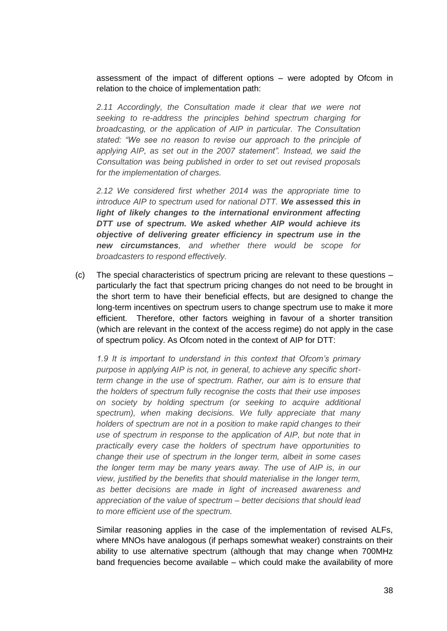assessment of the impact of different options – were adopted by Ofcom in relation to the choice of implementation path:

*2.11 Accordingly, the Consultation made it clear that we were not seeking to re-address the principles behind spectrum charging for broadcasting, or the application of AIP in particular. The Consultation stated: "We see no reason to revise our approach to the principle of applying AIP, as set out in the 2007 statement". Instead, we said the Consultation was being published in order to set out revised proposals for the implementation of charges.* 

*2.12 We considered first whether 2014 was the appropriate time to introduce AIP to spectrum used for national DTT. We assessed this in*  light of likely changes to the international environment affecting *DTT use of spectrum. We asked whether AIP would achieve its objective of delivering greater efficiency in spectrum use in the new circumstances, and whether there would be scope for broadcasters to respond effectively.* 

(c) The special characteristics of spectrum pricing are relevant to these questions – particularly the fact that spectrum pricing changes do not need to be brought in the short term to have their beneficial effects, but are designed to change the long-term incentives on spectrum users to change spectrum use to make it more efficient. Therefore, other factors weighing in favour of a shorter transition (which are relevant in the context of the access regime) do not apply in the case of spectrum policy. As Ofcom noted in the context of AIP for DTT:

*1.9 It is important to understand in this context that Ofcom's primary purpose in applying AIP is not, in general, to achieve any specific shortterm change in the use of spectrum. Rather, our aim is to ensure that the holders of spectrum fully recognise the costs that their use imposes on society by holding spectrum (or seeking to acquire additional spectrum), when making decisions. We fully appreciate that many holders of spectrum are not in a position to make rapid changes to their use of spectrum in response to the application of AIP, but note that in practically every case the holders of spectrum have opportunities to change their use of spectrum in the longer term, albeit in some cases the longer term may be many years away. The use of AIP is, in our view, justified by the benefits that should materialise in the longer term, as better decisions are made in light of increased awareness and appreciation of the value of spectrum – better decisions that should lead to more efficient use of the spectrum.*

Similar reasoning applies in the case of the implementation of revised ALFs, where MNOs have analogous (if perhaps somewhat weaker) constraints on their ability to use alternative spectrum (although that may change when 700MHz band frequencies become available – which could make the availability of more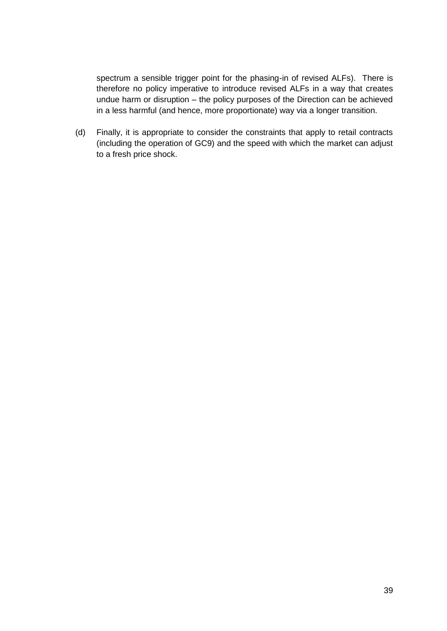spectrum a sensible trigger point for the phasing-in of revised ALFs). There is therefore no policy imperative to introduce revised ALFs in a way that creates undue harm or disruption – the policy purposes of the Direction can be achieved in a less harmful (and hence, more proportionate) way via a longer transition.

(d) Finally, it is appropriate to consider the constraints that apply to retail contracts (including the operation of GC9) and the speed with which the market can adjust to a fresh price shock.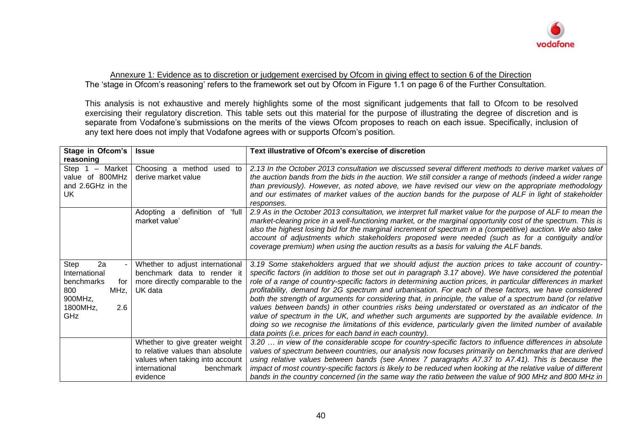

Annexure 1: Evidence as to discretion or judgement exercised by Ofcom in giving effect to section 6 of the Direction The 'stage in Ofcom's reasoning' refers to the framework set out by Ofcom in Figure 1.1 on page 6 of the Further Consultation.

This analysis is not exhaustive and merely highlights some of the most significant judgements that fall to Ofcom to be resolved exercising their regulatory discretion. This table sets out this material for the purpose of illustrating the degree of discretion and is separate from Vodafone's submissions on the merits of the views Ofcom proposes to reach on each issue. Specifically, inclusion of any text here does not imply that Vodafone agrees with or supports Ofcom's position.

| Stage in Ofcom's<br>reasoning                                                                        | <b>Issue</b>                                                                                                                                    | Text illustrative of Ofcom's exercise of discretion                                                                                                                                                                                                                                                                                                                                                                                                                                                                                                                                                                                                                                                                                                                                                                                                                                                                                                  |
|------------------------------------------------------------------------------------------------------|-------------------------------------------------------------------------------------------------------------------------------------------------|------------------------------------------------------------------------------------------------------------------------------------------------------------------------------------------------------------------------------------------------------------------------------------------------------------------------------------------------------------------------------------------------------------------------------------------------------------------------------------------------------------------------------------------------------------------------------------------------------------------------------------------------------------------------------------------------------------------------------------------------------------------------------------------------------------------------------------------------------------------------------------------------------------------------------------------------------|
| Step 1<br>- Market<br>value of 800MHz<br>and 2.6GHz in the<br>UK                                     | Choosing a method used to<br>derive market value                                                                                                | 2.13 In the October 2013 consultation we discussed several different methods to derive market values of<br>the auction bands from the bids in the auction. We still consider a range of methods (indeed a wider range<br>than previously). However, as noted above, we have revised our view on the appropriate methodology<br>and our estimates of market values of the auction bands for the purpose of ALF in light of stakeholder<br>responses.                                                                                                                                                                                                                                                                                                                                                                                                                                                                                                  |
|                                                                                                      | definition of<br>'full<br>Adopting a<br>market value'                                                                                           | 2.9 As in the October 2013 consultation, we interpret full market value for the purpose of ALF to mean the<br>market-clearing price in a well-functioning market, or the marginal opportunity cost of the spectrum. This is<br>also the highest losing bid for the marginal increment of spectrum in a (competitive) auction. We also take<br>account of adjustments which stakeholders proposed were needed (such as for a contiguity and/or<br>coverage premium) when using the auction results as a basis for valuing the ALF bands.                                                                                                                                                                                                                                                                                                                                                                                                              |
| Step<br>2a<br>International<br>benchmarks<br>for<br>MHz,<br>800<br>900MHz,<br>1800MHz,<br>2.6<br>GHz | Whether to adjust international<br>benchmark data to render it<br>more directly comparable to the<br>UK data                                    | 3.19 Some stakeholders argued that we should adjust the auction prices to take account of country-<br>specific factors (in addition to those set out in paragraph 3.17 above). We have considered the potential<br>role of a range of country-specific factors in determining auction prices, in particular differences in market<br>profitability, demand for 2G spectrum and urbanisation. For each of these factors, we have considered<br>both the strength of arguments for considering that, in principle, the value of a spectrum band (or relative<br>values between bands) in other countries risks being understated or overstated as an indicator of the<br>value of spectrum in the UK, and whether such arguments are supported by the available evidence. In<br>doing so we recognise the limitations of this evidence, particularly given the limited number of available<br>data points (i.e. prices for each band in each country). |
|                                                                                                      | Whether to give greater weight<br>to relative values than absolute<br>values when taking into account<br>international<br>benchmark<br>evidence | 3.20  in view of the considerable scope for country-specific factors to influence differences in absolute<br>values of spectrum between countries, our analysis now focuses primarily on benchmarks that are derived<br>using relative values between bands (see Annex 7 paragraphs A7.37 to A7.41). This is because the<br>impact of most country-specific factors is likely to be reduced when looking at the relative value of different<br>bands in the country concerned (in the same way the ratio between the value of 900 MHz and 800 MHz in                                                                                                                                                                                                                                                                                                                                                                                                 |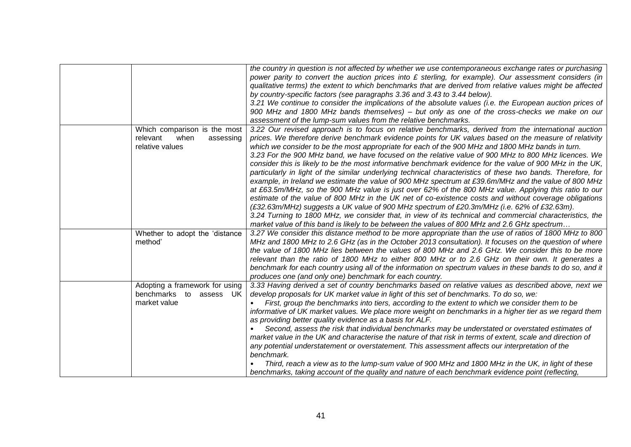|                                | the country in question is not affected by whether we use contemporaneous exchange rates or purchasing<br>power parity to convert the auction prices into $E$ sterling, for example). Our assessment considers (in<br>qualitative terms) the extent to which benchmarks that are derived from relative values might be affected<br>by country-specific factors (see paragraphs 3.36 and 3.43 to 3.44 below).<br>3.21 We continue to consider the implications of the absolute values (i.e. the European auction prices of<br>900 MHz and 1800 MHz bands themselves) – but only as one of the cross-checks we make on our<br>assessment of the lump-sum values from the relative benchmarks. |
|--------------------------------|---------------------------------------------------------------------------------------------------------------------------------------------------------------------------------------------------------------------------------------------------------------------------------------------------------------------------------------------------------------------------------------------------------------------------------------------------------------------------------------------------------------------------------------------------------------------------------------------------------------------------------------------------------------------------------------------|
| Which comparison is the most   | 3.22 Our revised approach is to focus on relative benchmarks, derived from the international auction                                                                                                                                                                                                                                                                                                                                                                                                                                                                                                                                                                                        |
| relevant<br>when<br>assessing  | prices. We therefore derive benchmark evidence points for UK values based on the measure of relativity                                                                                                                                                                                                                                                                                                                                                                                                                                                                                                                                                                                      |
| relative values                | which we consider to be the most appropriate for each of the 900 MHz and 1800 MHz bands in turn.                                                                                                                                                                                                                                                                                                                                                                                                                                                                                                                                                                                            |
|                                | 3.23 For the 900 MHz band, we have focused on the relative value of 900 MHz to 800 MHz licences. We                                                                                                                                                                                                                                                                                                                                                                                                                                                                                                                                                                                         |
|                                | consider this is likely to be the most informative benchmark evidence for the value of 900 MHz in the UK,                                                                                                                                                                                                                                                                                                                                                                                                                                                                                                                                                                                   |
|                                | particularly in light of the similar underlying technical characteristics of these two bands. Therefore, for                                                                                                                                                                                                                                                                                                                                                                                                                                                                                                                                                                                |
|                                | example, in Ireland we estimate the value of 900 MHz spectrum at £39.6m/MHz and the value of 800 MHz<br>at £63.5m/MHz, so the 900 MHz value is just over 62% of the 800 MHz value. Applying this ratio to our                                                                                                                                                                                                                                                                                                                                                                                                                                                                               |
|                                | estimate of the value of 800 MHz in the UK net of co-existence costs and without coverage obligations                                                                                                                                                                                                                                                                                                                                                                                                                                                                                                                                                                                       |
|                                | (£32.63m/MHz) suggests a UK value of 900 MHz spectrum of £20.3m/MHz (i.e. 62% of £32.63m).                                                                                                                                                                                                                                                                                                                                                                                                                                                                                                                                                                                                  |
|                                | 3.24 Turning to 1800 MHz, we consider that, in view of its technical and commercial characteristics, the                                                                                                                                                                                                                                                                                                                                                                                                                                                                                                                                                                                    |
|                                | market value of this band is likely to be between the values of 800 MHz and 2.6 GHz spectrum                                                                                                                                                                                                                                                                                                                                                                                                                                                                                                                                                                                                |
| Whether to adopt the 'distance | 3.27 We consider this distance method to be more appropriate than the use of ratios of 1800 MHz to 800                                                                                                                                                                                                                                                                                                                                                                                                                                                                                                                                                                                      |
| method'                        | MHz and 1800 MHz to 2.6 GHz (as in the October 2013 consultation). It focuses on the question of where                                                                                                                                                                                                                                                                                                                                                                                                                                                                                                                                                                                      |
|                                | the value of 1800 MHz lies between the values of 800 MHz and 2.6 GHz. We consider this to be more                                                                                                                                                                                                                                                                                                                                                                                                                                                                                                                                                                                           |
|                                | relevant than the ratio of 1800 MHz to either 800 MHz or to 2.6 GHz on their own. It generates a                                                                                                                                                                                                                                                                                                                                                                                                                                                                                                                                                                                            |
|                                | benchmark for each country using all of the information on spectrum values in these bands to do so, and it                                                                                                                                                                                                                                                                                                                                                                                                                                                                                                                                                                                  |
| Adopting a framework for using | produces one (and only one) benchmark for each country.<br>3.33 Having derived a set of country benchmarks based on relative values as described above, next we                                                                                                                                                                                                                                                                                                                                                                                                                                                                                                                             |
| benchmarks to assess UK        | develop proposals for UK market value in light of this set of benchmarks. To do so, we:                                                                                                                                                                                                                                                                                                                                                                                                                                                                                                                                                                                                     |
| market value                   | First, group the benchmarks into tiers, according to the extent to which we consider them to be                                                                                                                                                                                                                                                                                                                                                                                                                                                                                                                                                                                             |
|                                | informative of UK market values. We place more weight on benchmarks in a higher tier as we regard them                                                                                                                                                                                                                                                                                                                                                                                                                                                                                                                                                                                      |
|                                | as providing better quality evidence as a basis for ALF.                                                                                                                                                                                                                                                                                                                                                                                                                                                                                                                                                                                                                                    |
|                                | Second, assess the risk that individual benchmarks may be understated or overstated estimates of                                                                                                                                                                                                                                                                                                                                                                                                                                                                                                                                                                                            |
|                                | market value in the UK and characterise the nature of that risk in terms of extent, scale and direction of                                                                                                                                                                                                                                                                                                                                                                                                                                                                                                                                                                                  |
|                                | any potential understatement or overstatement. This assessment affects our interpretation of the                                                                                                                                                                                                                                                                                                                                                                                                                                                                                                                                                                                            |
|                                | benchmark.                                                                                                                                                                                                                                                                                                                                                                                                                                                                                                                                                                                                                                                                                  |
|                                | Third, reach a view as to the lump-sum value of 900 MHz and 1800 MHz in the UK, in light of these                                                                                                                                                                                                                                                                                                                                                                                                                                                                                                                                                                                           |
|                                | benchmarks, taking account of the quality and nature of each benchmark evidence point (reflecting,                                                                                                                                                                                                                                                                                                                                                                                                                                                                                                                                                                                          |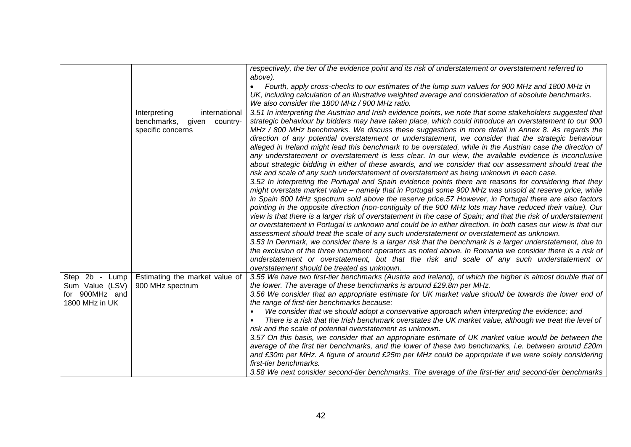|                   |                                              | respectively, the tier of the evidence point and its risk of understatement or overstatement referred to                                                                                                   |
|-------------------|----------------------------------------------|------------------------------------------------------------------------------------------------------------------------------------------------------------------------------------------------------------|
|                   |                                              | above).                                                                                                                                                                                                    |
|                   |                                              | Fourth, apply cross-checks to our estimates of the lump sum values for 900 MHz and 1800 MHz in                                                                                                             |
|                   |                                              | UK, including calculation of an illustrative weighted average and consideration of absolute benchmarks.<br>We also consider the 1800 MHz / 900 MHz ratio.                                                  |
|                   |                                              |                                                                                                                                                                                                            |
|                   | Interpreting<br>international<br>benchmarks, | 3.51 In interpreting the Austrian and Irish evidence points, we note that some stakeholders suggested that                                                                                                 |
|                   | given<br>country-<br>specific concerns       | strategic behaviour by bidders may have taken place, which could introduce an overstatement to our 900<br>MHz / 800 MHz benchmarks. We discuss these suggestions in more detail in Annex 8. As regards the |
|                   |                                              | direction of any potential overstatement or understatement, we consider that the strategic behaviour                                                                                                       |
|                   |                                              | alleged in Ireland might lead this benchmark to be overstated, while in the Austrian case the direction of                                                                                                 |
|                   |                                              | any understatement or overstatement is less clear. In our view, the available evidence is inconclusive                                                                                                     |
|                   |                                              | about strategic bidding in either of these awards, and we consider that our assessment should treat the                                                                                                    |
|                   |                                              | risk and scale of any such understatement of overstatement as being unknown in each case.                                                                                                                  |
|                   |                                              | 3.52 In interpreting the Portugal and Spain evidence points there are reasons for considering that they                                                                                                    |
|                   |                                              | might overstate market value - namely that in Portugal some 900 MHz was unsold at reserve price, while                                                                                                     |
|                   |                                              | in Spain 800 MHz spectrum sold above the reserve price.57 However, in Portugal there are also factors                                                                                                      |
|                   |                                              | pointing in the opposite direction (non-contiguity of the 900 MHz lots may have reduced their value). Our                                                                                                  |
|                   |                                              | view is that there is a larger risk of overstatement in the case of Spain; and that the risk of understatement                                                                                             |
|                   |                                              | or overstatement in Portugal is unknown and could be in either direction. In both cases our view is that our                                                                                               |
|                   |                                              | assessment should treat the scale of any such understatement or overstatement as unknown.                                                                                                                  |
|                   |                                              | 3.53 In Denmark, we consider there is a larger risk that the benchmark is a larger understatement, due to                                                                                                  |
|                   |                                              | the exclusion of the three incumbent operators as noted above. In Romania we consider there is a risk of                                                                                                   |
|                   |                                              | understatement or overstatement, but that the risk and scale of any such understatement or                                                                                                                 |
|                   |                                              | overstatement should be treated as unknown.                                                                                                                                                                |
| Step 2b -<br>Lump | Estimating the market value of               | 3.55 We have two first-tier benchmarks (Austria and Ireland), of which the higher is almost double that of                                                                                                 |
| Sum Value (LSV)   | 900 MHz spectrum                             | the lower. The average of these benchmarks is around £29.8m per MHz.                                                                                                                                       |
| for 900MHz and    |                                              | 3.56 We consider that an appropriate estimate for UK market value should be towards the lower end of                                                                                                       |
| 1800 MHz in UK    |                                              | the range of first-tier benchmarks because:                                                                                                                                                                |
|                   |                                              | We consider that we should adopt a conservative approach when interpreting the evidence; and                                                                                                               |
|                   |                                              | There is a risk that the Irish benchmark overstates the UK market value, although we treat the level of<br>risk and the scale of potential overstatement as unknown.                                       |
|                   |                                              | 3.57 On this basis, we consider that an appropriate estimate of UK market value would be between the                                                                                                       |
|                   |                                              | average of the first tier benchmarks, and the lower of these two benchmarks, i.e. between around £20m                                                                                                      |
|                   |                                              | and £30m per MHz. A figure of around £25m per MHz could be appropriate if we were solely considering                                                                                                       |
|                   |                                              | first-tier benchmarks.                                                                                                                                                                                     |
|                   |                                              | 3.58 We next consider second-tier benchmarks. The average of the first-tier and second-tier benchmarks                                                                                                     |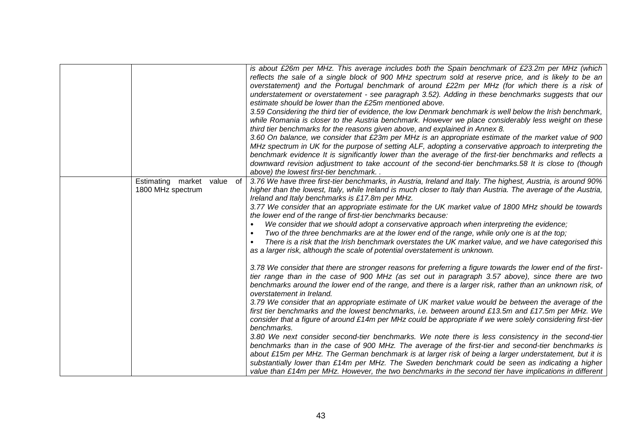|                                                       | is about £26m per MHz. This average includes both the Spain benchmark of £23.2m per MHz (which<br>reflects the sale of a single block of 900 MHz spectrum sold at reserve price, and is likely to be an<br>overstatement) and the Portugal benchmark of around £22m per MHz (for which there is a risk of<br>understatement or overstatement - see paragraph 3.52). Adding in these benchmarks suggests that our<br>estimate should be lower than the £25m mentioned above.<br>3.59 Considering the third tier of evidence, the low Denmark benchmark is well below the Irish benchmark,<br>while Romania is closer to the Austria benchmark. However we place considerably less weight on these<br>third tier benchmarks for the reasons given above, and explained in Annex 8.<br>3.60 On balance, we consider that £23m per MHz is an appropriate estimate of the market value of 900<br>MHz spectrum in UK for the purpose of setting ALF, adopting a conservative approach to interpreting the<br>benchmark evidence It is significantly lower than the average of the first-tier benchmarks and reflects a<br>downward revision adjustment to take account of the second-tier benchmarks.58 It is close to (though<br>above) the lowest first-tier benchmark |
|-------------------------------------------------------|--------------------------------------------------------------------------------------------------------------------------------------------------------------------------------------------------------------------------------------------------------------------------------------------------------------------------------------------------------------------------------------------------------------------------------------------------------------------------------------------------------------------------------------------------------------------------------------------------------------------------------------------------------------------------------------------------------------------------------------------------------------------------------------------------------------------------------------------------------------------------------------------------------------------------------------------------------------------------------------------------------------------------------------------------------------------------------------------------------------------------------------------------------------------------------------------------------------------------------------------------------------------|
| Estimating market<br>value<br>of<br>1800 MHz spectrum | 3.76 We have three first-tier benchmarks, in Austria, Ireland and Italy. The highest, Austria, is around 90%<br>higher than the lowest, Italy, while Ireland is much closer to Italy than Austria. The average of the Austria,<br>Ireland and Italy benchmarks is £17.8m per MHz.<br>3.77 We consider that an appropriate estimate for the UK market value of 1800 MHz should be towards<br>the lower end of the range of first-tier benchmarks because:<br>We consider that we should adopt a conservative approach when interpreting the evidence;<br>Two of the three benchmarks are at the lower end of the range, while only one is at the top;<br>$\bullet$<br>There is a risk that the Irish benchmark overstates the UK market value, and we have categorised this<br>$\bullet$<br>as a larger risk, although the scale of potential overstatement is unknown.                                                                                                                                                                                                                                                                                                                                                                                             |
|                                                       | 3.78 We consider that there are stronger reasons for preferring a figure towards the lower end of the first-<br>tier range than in the case of 900 MHz (as set out in paragraph 3.57 above), since there are two<br>benchmarks around the lower end of the range, and there is a larger risk, rather than an unknown risk, of<br>overstatement in Ireland.<br>3.79 We consider that an appropriate estimate of UK market value would be between the average of the<br>first tier benchmarks and the lowest benchmarks, i.e. between around £13.5m and £17.5m per MHz. We<br>consider that a figure of around £14m per MHz could be appropriate if we were solely considering first-tier<br>benchmarks.<br>3.80 We next consider second-tier benchmarks. We note there is less consistency in the second-tier<br>benchmarks than in the case of 900 MHz. The average of the first-tier and second-tier benchmarks is<br>about £15m per MHz. The German benchmark is at larger risk of being a larger understatement, but it is<br>substantially lower than £14m per MHz. The Sweden benchmark could be seen as indicating a higher<br>value than £14m per MHz. However, the two benchmarks in the second tier have implications in different                        |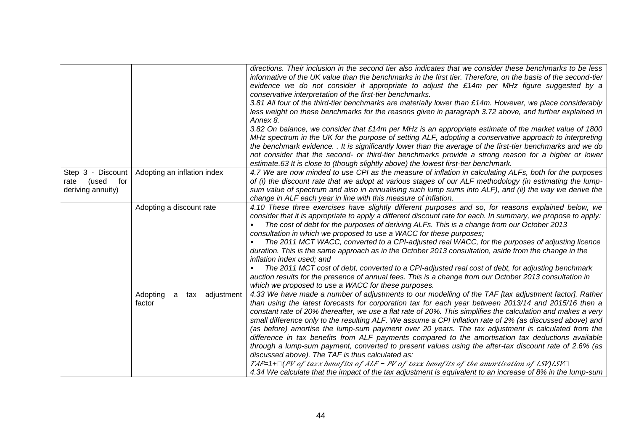|                                           |                                        | directions. Their inclusion in the second tier also indicates that we consider these benchmarks to be less<br>informative of the UK value than the benchmarks in the first tier. Therefore, on the basis of the second-tier<br>evidence we do not consider it appropriate to adjust the £14m per MHz figure suggested by a<br>conservative interpretation of the first-tier benchmarks.<br>3.81 All four of the third-tier benchmarks are materially lower than £14m. However, we place considerably<br>less weight on these benchmarks for the reasons given in paragraph 3.72 above, and further explained in<br>Annex 8.<br>3.82 On balance, we consider that £14m per MHz is an appropriate estimate of the market value of 1800<br>MHz spectrum in the UK for the purpose of setting ALF, adopting a conservative approach to interpreting<br>the benchmark evidence. . It is significantly lower than the average of the first-tier benchmarks and we do<br>not consider that the second- or third-tier benchmarks provide a strong reason for a higher or lower<br>estimate.63 It is close to (though slightly above) the lowest first-tier benchmark. |
|-------------------------------------------|----------------------------------------|---------------------------------------------------------------------------------------------------------------------------------------------------------------------------------------------------------------------------------------------------------------------------------------------------------------------------------------------------------------------------------------------------------------------------------------------------------------------------------------------------------------------------------------------------------------------------------------------------------------------------------------------------------------------------------------------------------------------------------------------------------------------------------------------------------------------------------------------------------------------------------------------------------------------------------------------------------------------------------------------------------------------------------------------------------------------------------------------------------------------------------------------------------------|
| Step 3 - Discount                         | Adopting an inflation index            | 4.7 We are now minded to use CPI as the measure of inflation in calculating ALFs, both for the purposes                                                                                                                                                                                                                                                                                                                                                                                                                                                                                                                                                                                                                                                                                                                                                                                                                                                                                                                                                                                                                                                       |
| (used<br>for<br>rate<br>deriving annuity) |                                        | of (i) the discount rate that we adopt at various stages of our ALF methodology (in estimating the lump-<br>sum value of spectrum and also in annualising such lump sums into ALF), and (ii) the way we derive the<br>change in ALF each year in line with this measure of inflation.                                                                                                                                                                                                                                                                                                                                                                                                                                                                                                                                                                                                                                                                                                                                                                                                                                                                         |
|                                           | Adopting a discount rate               | 4.10 These three exercises have slightly different purposes and so, for reasons explained below, we<br>consider that it is appropriate to apply a different discount rate for each. In summary, we propose to apply:<br>The cost of debt for the purposes of deriving ALFs. This is a change from our October 2013<br>consultation in which we proposed to use a WACC for these purposes;<br>The 2011 MCT WACC, converted to a CPI-adjusted real WACC, for the purposes of adjusting licence<br>duration. This is the same approach as in the October 2013 consultation, aside from the change in the<br>inflation index used; and<br>The 2011 MCT cost of debt, converted to a CPI-adjusted real cost of debt, for adjusting benchmark<br>auction results for the presence of annual fees. This is a change from our October 2013 consultation in<br>which we proposed to use a WACC for these purposes.                                                                                                                                                                                                                                                     |
|                                           | Adopting<br>a tax adjustment<br>factor | 4.33 We have made a number of adjustments to our modelling of the TAF [tax adjustment factor]. Rather<br>than using the latest forecasts for corporation tax for each year between 2013/14 and 2015/16 then a<br>constant rate of 20% thereafter, we use a flat rate of 20%. This simplifies the calculation and makes a very<br>small difference only to the resulting ALF. We assume a CPI inflation rate of 2% (as discussed above) and<br>(as before) amortise the lump-sum payment over 20 years. The tax adjustment is calculated from the<br>difference in tax benefits from ALF payments compared to the amortisation tax deductions available<br>through a lump-sum payment, converted to present values using the after-tax discount rate of 2.6% (as<br>discussed above). The TAF is thus calculated as:<br>TAF=1+ $\square$ (PV of taxx benefits of ALF - PV of taxx benefits of the amortisation of LSV)LSV $\square$<br>4.34 We calculate that the impact of the tax adjustment is equivalent to an increase of 8% in the lump-sum                                                                                                              |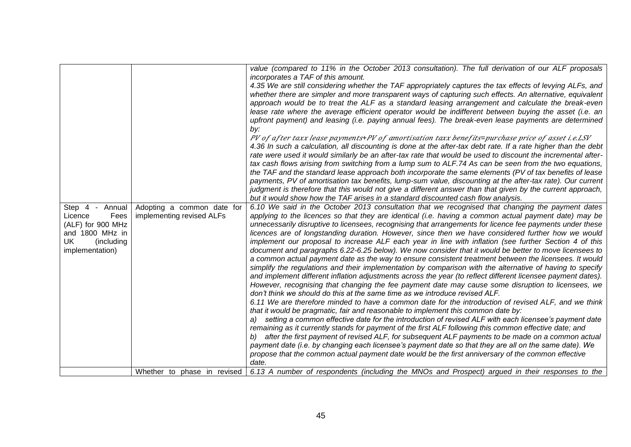|                                                                                                                   |                                                         | value (compared to 11% in the October 2013 consultation). The full derivation of our ALF proposals<br>incorporates a TAF of this amount.                                                                                                                                                                                                                                                                                                                                                                                                                                                                                                                                                                                                                                                                                                                                                                                                                                                                                                                                                                                                                                                                                                                                                                                                                                                                                                                                                                                                                                                                                                                                                                                                                                                                                                                                                                                          |
|-------------------------------------------------------------------------------------------------------------------|---------------------------------------------------------|-----------------------------------------------------------------------------------------------------------------------------------------------------------------------------------------------------------------------------------------------------------------------------------------------------------------------------------------------------------------------------------------------------------------------------------------------------------------------------------------------------------------------------------------------------------------------------------------------------------------------------------------------------------------------------------------------------------------------------------------------------------------------------------------------------------------------------------------------------------------------------------------------------------------------------------------------------------------------------------------------------------------------------------------------------------------------------------------------------------------------------------------------------------------------------------------------------------------------------------------------------------------------------------------------------------------------------------------------------------------------------------------------------------------------------------------------------------------------------------------------------------------------------------------------------------------------------------------------------------------------------------------------------------------------------------------------------------------------------------------------------------------------------------------------------------------------------------------------------------------------------------------------------------------------------------|
|                                                                                                                   |                                                         | 4.35 We are still considering whether the TAF appropriately captures the tax effects of levying ALFs, and<br>whether there are simpler and more transparent ways of capturing such effects. An alternative, equivalent<br>approach would be to treat the ALF as a standard leasing arrangement and calculate the break-even<br>lease rate where the average efficient operator would be indifferent between buying the asset (i.e. an<br>upfront payment) and leasing (i.e. paying annual fees). The break-even lease payments are determined<br>by:<br>PV of after taxx lease payments+PV of amortisation taxx benefits=purchase price of asset i.e.LSV<br>4.36 In such a calculation, all discounting is done at the after-tax debt rate. If a rate higher than the debt<br>rate were used it would similarly be an after-tax rate that would be used to discount the incremental after-<br>tax cash flows arising from switching from a lump sum to ALF.74 As can be seen from the two equations,<br>the TAF and the standard lease approach both incorporate the same elements (PV of tax benefits of lease<br>payments, PV of amortisation tax benefits, lump-sum value, discounting at the after-tax rate). Our current<br>judgment is therefore that this would not give a different answer than that given by the current approach,                                                                                                                                                                                                                                                                                                                                                                                                                                                                                                                                                                                       |
|                                                                                                                   |                                                         | but it would show how the TAF arises in a standard discounted cash flow analysis.                                                                                                                                                                                                                                                                                                                                                                                                                                                                                                                                                                                                                                                                                                                                                                                                                                                                                                                                                                                                                                                                                                                                                                                                                                                                                                                                                                                                                                                                                                                                                                                                                                                                                                                                                                                                                                                 |
| Step 4 - Annual<br>Licence<br>Fees<br>(ALF) for 900 MHz<br>and 1800 MHz in<br>UK<br>(including<br>implementation) | Adopting a common date for<br>implementing revised ALFs | 6.10 We said in the October 2013 consultation that we recognised that changing the payment dates<br>applying to the licences so that they are identical (i.e. having a common actual payment date) may be<br>unnecessarily disruptive to licensees, recognising that arrangements for licence fee payments under these<br>licences are of longstanding duration. However, since then we have considered further how we would<br>implement our proposal to increase ALF each year in line with inflation (see further Section 4 of this<br>document and paragraphs 6.22-6.25 below). We now consider that it would be better to move licensees to<br>a common actual payment date as the way to ensure consistent treatment between the licensees. It would<br>simplify the regulations and their implementation by comparison with the alternative of having to specify<br>and implement different inflation adjustments across the year (to reflect different licensee payment dates).<br>However, recognising that changing the fee payment date may cause some disruption to licensees, we<br>don't think we should do this at the same time as we introduce revised ALF.<br>6.11 We are therefore minded to have a common date for the introduction of revised ALF, and we think<br>that it would be pragmatic, fair and reasonable to implement this common date by:<br>a) setting a common effective date for the introduction of revised ALF with each licensee's payment date<br>remaining as it currently stands for payment of the first ALF following this common effective date; and<br>b) after the first payment of revised ALF, for subsequent ALF payments to be made on a common actual<br>payment date (i.e. by changing each licensee's payment date so that they are all on the same date). We<br>propose that the common actual payment date would be the first anniversary of the common effective<br>date. |
|                                                                                                                   |                                                         | Whether to phase in revised $\vert$ 6.13 A number of respondents (including the MNOs and Prospect) argued in their responses to the                                                                                                                                                                                                                                                                                                                                                                                                                                                                                                                                                                                                                                                                                                                                                                                                                                                                                                                                                                                                                                                                                                                                                                                                                                                                                                                                                                                                                                                                                                                                                                                                                                                                                                                                                                                               |